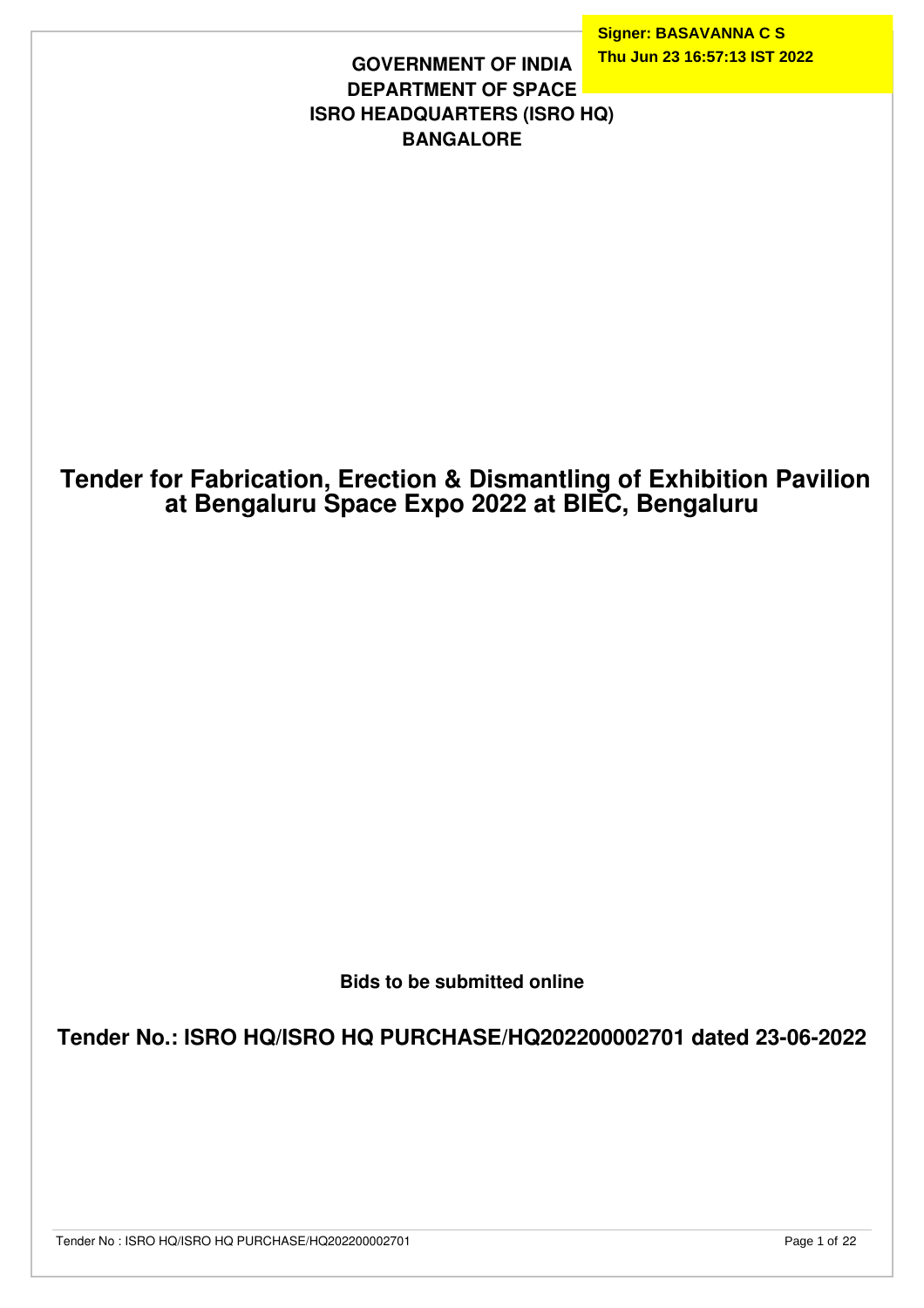**Signer: BASAVANNA C S Thu Jun 23 16:57:13 IST 2022**

#### **GOVERNMENT OF INDIA DEPARTMENT OF SPACE ISRO HEADQUARTERS (ISRO HQ) BANGALORE**

# **Tender for Fabrication, Erection & Dismantling of Exhibition Pavilion at Bengaluru Space Expo 2022 at BIEC, Bengaluru**

**Bids to be submitted online**

**Tender No.: ISRO HQ/ISRO HQ PURCHASE/HQ202200002701 dated 23-06-2022**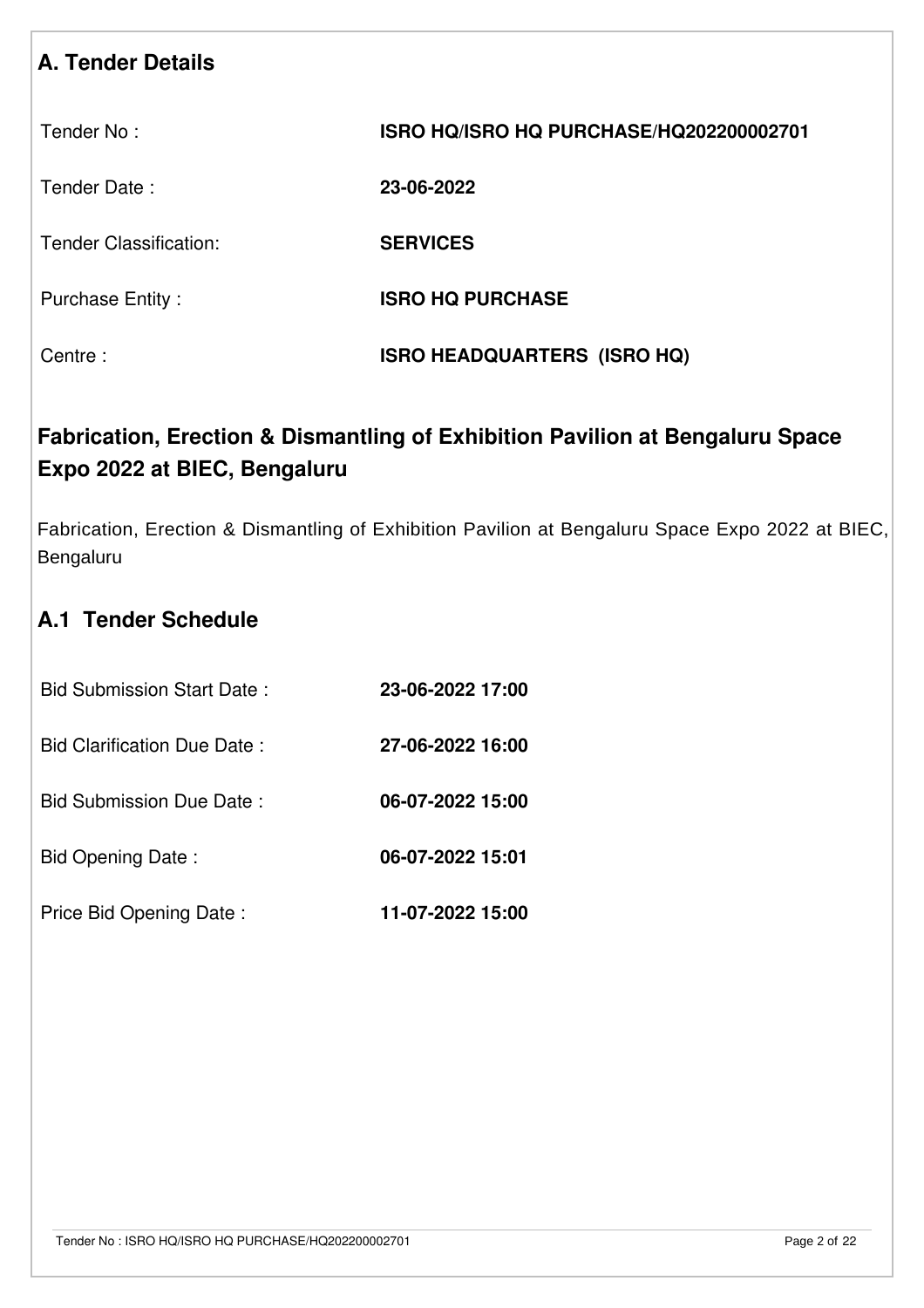# **A. Tender Details**

| Tender No: | ISRO HQ/ISRO HQ PURCHASE/HQ202200002701 |
|------------|-----------------------------------------|
|------------|-----------------------------------------|

Tender Date : **23-06-2022**

Tender Classification: **SERVICES**

Purchase Entity : **ISRO HQ PURCHASE** 

Centre : **ISRO HEADQUARTERS (ISRO HQ)**

# **Fabrication, Erection & Dismantling of Exhibition Pavilion at Bengaluru Space Expo 2022 at BIEC, Bengaluru**

Fabrication, Erection & Dismantling of Exhibition Pavilion at Bengaluru Space Expo 2022 at BIEC, Bengaluru

# **A.1 Tender Schedule**

| <b>Bid Submission Start Date:</b>  | 23-06-2022 17:00 |
|------------------------------------|------------------|
| <b>Bid Clarification Due Date:</b> | 27-06-2022 16:00 |
| Bid Submission Due Date:           | 06-07-2022 15:00 |
| Bid Opening Date:                  | 06-07-2022 15:01 |
| Price Bid Opening Date:            | 11-07-2022 15:00 |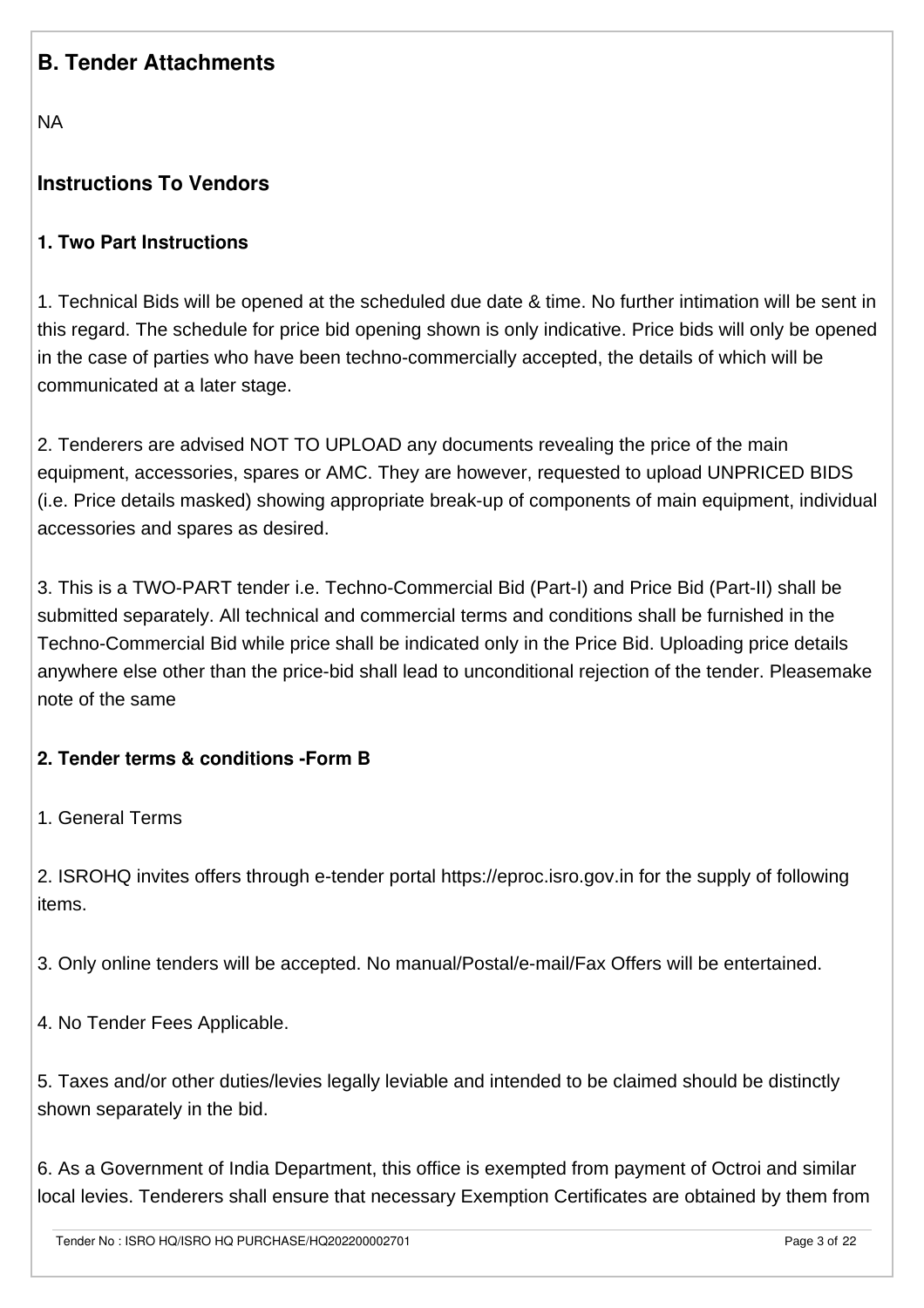# **B. Tender Attachments**

NA

# **Instructions To Vendors**

#### **1. Two Part Instructions**

1. Technical Bids will be opened at the scheduled due date & time. No further intimation will be sent in this regard. The schedule for price bid opening shown is only indicative. Price bids will only be opened in the case of parties who have been techno-commercially accepted, the details of which will be communicated at a later stage.

2. Tenderers are advised NOT TO UPLOAD any documents revealing the price of the main equipment, accessories, spares or AMC. They are however, requested to upload UNPRICED BIDS (i.e. Price details masked) showing appropriate break-up of components of main equipment, individual accessories and spares as desired.

3. This is a TWO-PART tender i.e. Techno-Commercial Bid (Part-I) and Price Bid (Part-II) shall be submitted separately. All technical and commercial terms and conditions shall be furnished in the Techno-Commercial Bid while price shall be indicated only in the Price Bid. Uploading price details anywhere else other than the price-bid shall lead to unconditional rejection of the tender. Pleasemake note of the same

## **2. Tender terms & conditions -Form B**

1. General Terms

2. ISROHQ invites offers through e-tender portal https://eproc.isro.gov.in for the supply of following items.

3. Only online tenders will be accepted. No manual/Postal/e-mail/Fax Offers will be entertained.

4. No Tender Fees Applicable.

5. Taxes and/or other duties/levies legally leviable and intended to be claimed should be distinctly shown separately in the bid.

6. As a Government of India Department, this office is exempted from payment of Octroi and similar local levies. Tenderers shall ensure that necessary Exemption Certificates are obtained by them from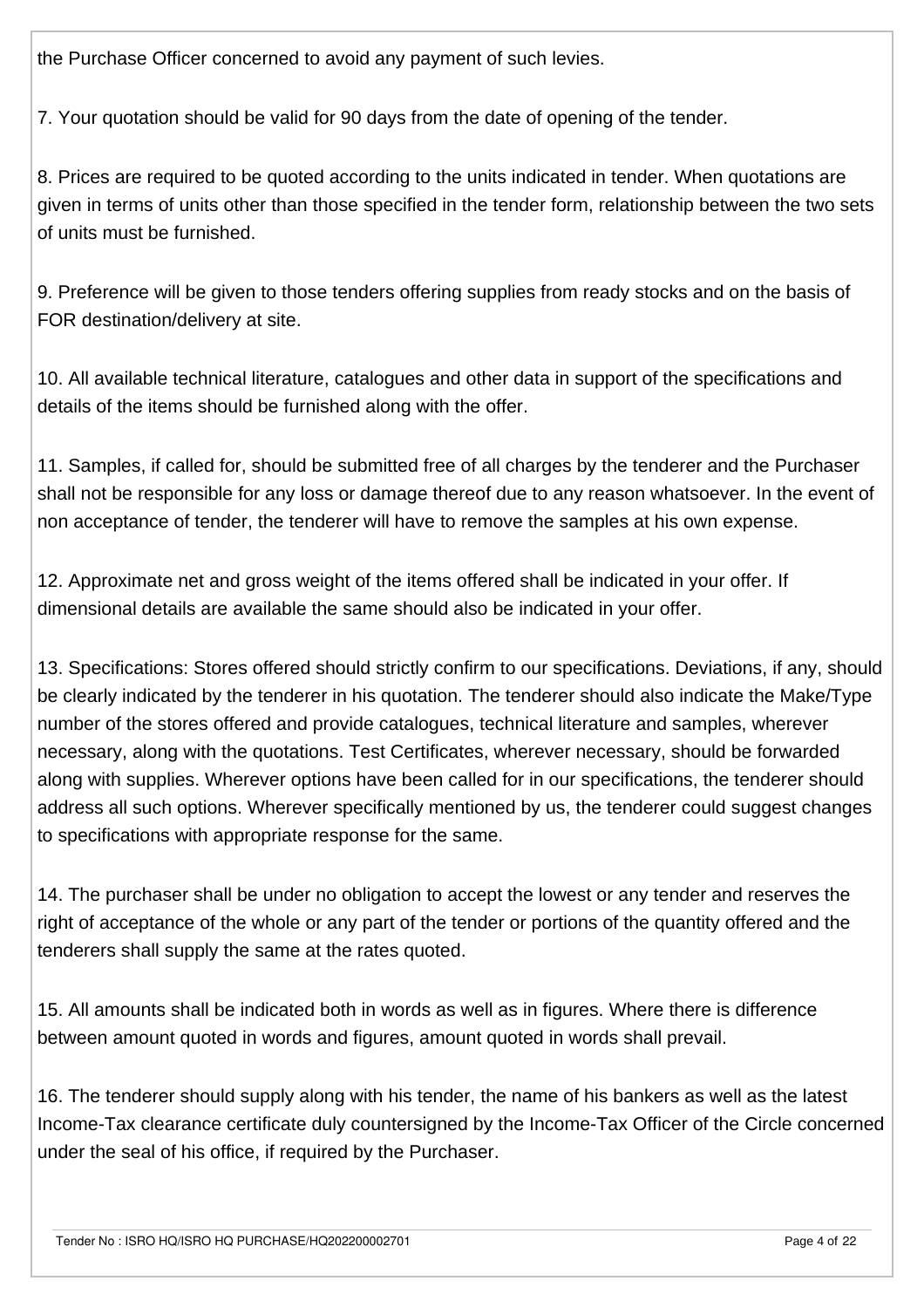the Purchase Officer concerned to avoid any payment of such levies.

7. Your quotation should be valid for 90 days from the date of opening of the tender.

8. Prices are required to be quoted according to the units indicated in tender. When quotations are given in terms of units other than those specified in the tender form, relationship between the two sets of units must be furnished.

9. Preference will be given to those tenders offering supplies from ready stocks and on the basis of FOR destination/delivery at site.

10. All available technical literature, catalogues and other data in support of the specifications and details of the items should be furnished along with the offer.

11. Samples, if called for, should be submitted free of all charges by the tenderer and the Purchaser shall not be responsible for any loss or damage thereof due to any reason whatsoever. In the event of non acceptance of tender, the tenderer will have to remove the samples at his own expense.

12. Approximate net and gross weight of the items offered shall be indicated in your offer. If dimensional details are available the same should also be indicated in your offer.

13. Specifications: Stores offered should strictly confirm to our specifications. Deviations, if any, should be clearly indicated by the tenderer in his quotation. The tenderer should also indicate the Make/Type number of the stores offered and provide catalogues, technical literature and samples, wherever necessary, along with the quotations. Test Certificates, wherever necessary, should be forwarded along with supplies. Wherever options have been called for in our specifications, the tenderer should address all such options. Wherever specifically mentioned by us, the tenderer could suggest changes to specifications with appropriate response for the same.

14. The purchaser shall be under no obligation to accept the lowest or any tender and reserves the right of acceptance of the whole or any part of the tender or portions of the quantity offered and the tenderers shall supply the same at the rates quoted.

15. All amounts shall be indicated both in words as well as in figures. Where there is difference between amount quoted in words and figures, amount quoted in words shall prevail.

16. The tenderer should supply along with his tender, the name of his bankers as well as the latest Income-Tax clearance certificate duly countersigned by the Income-Tax Officer of the Circle concerned under the seal of his office, if required by the Purchaser.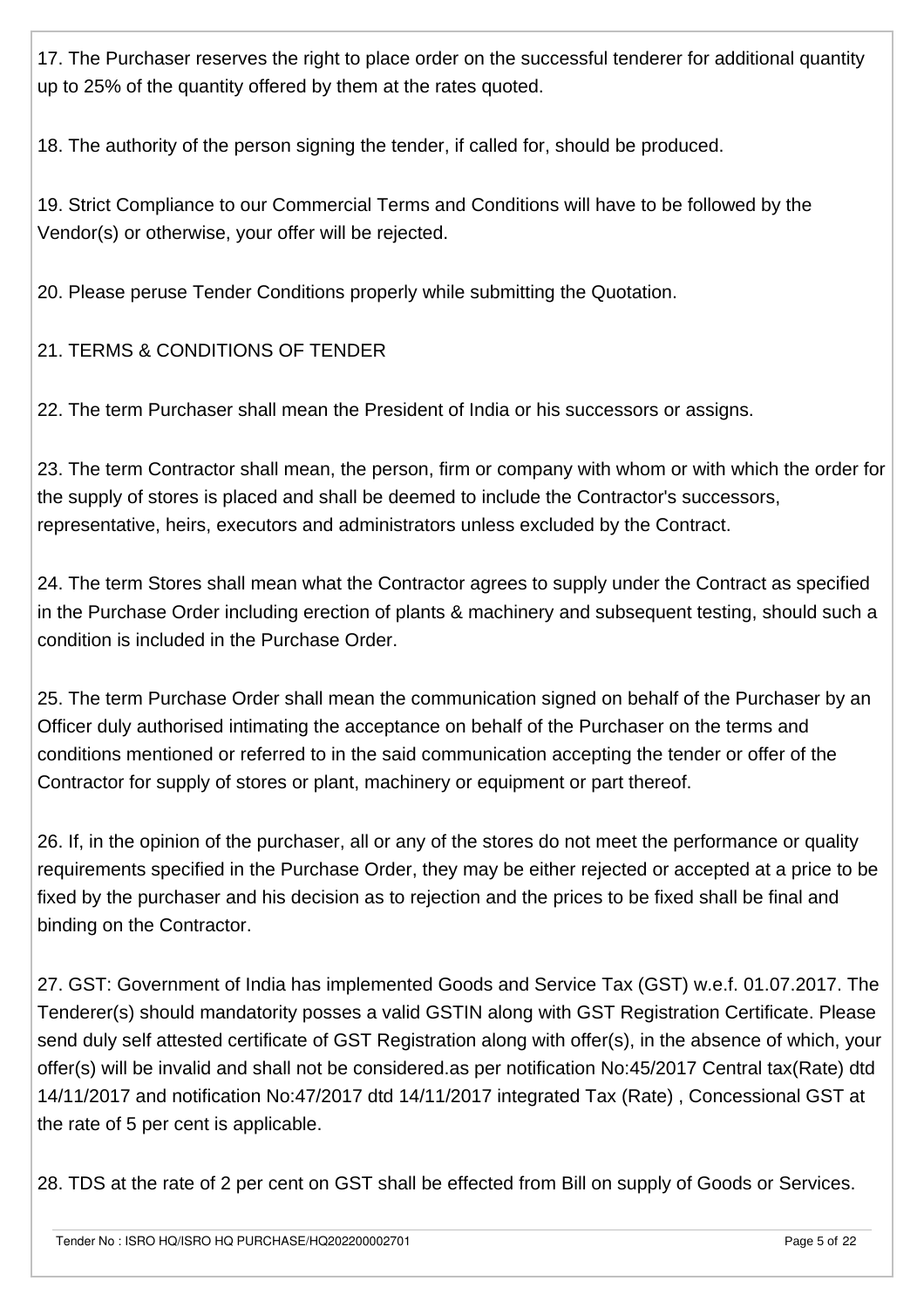17. The Purchaser reserves the right to place order on the successful tenderer for additional quantity up to 25% of the quantity offered by them at the rates quoted.

18. The authority of the person signing the tender, if called for, should be produced.

19. Strict Compliance to our Commercial Terms and Conditions will have to be followed by the Vendor(s) or otherwise, your offer will be rejected.

20. Please peruse Tender Conditions properly while submitting the Quotation.

21. TERMS & CONDITIONS OF TENDER

22. The term Purchaser shall mean the President of India or his successors or assigns.

23. The term Contractor shall mean, the person, firm or company with whom or with which the order for the supply of stores is placed and shall be deemed to include the Contractor's successors, representative, heirs, executors and administrators unless excluded by the Contract.

24. The term Stores shall mean what the Contractor agrees to supply under the Contract as specified in the Purchase Order including erection of plants & machinery and subsequent testing, should such a condition is included in the Purchase Order.

25. The term Purchase Order shall mean the communication signed on behalf of the Purchaser by an Officer duly authorised intimating the acceptance on behalf of the Purchaser on the terms and conditions mentioned or referred to in the said communication accepting the tender or offer of the Contractor for supply of stores or plant, machinery or equipment or part thereof.

26. If, in the opinion of the purchaser, all or any of the stores do not meet the performance or quality requirements specified in the Purchase Order, they may be either rejected or accepted at a price to be fixed by the purchaser and his decision as to rejection and the prices to be fixed shall be final and binding on the Contractor.

27. GST: Government of India has implemented Goods and Service Tax (GST) w.e.f. 01.07.2017. The Tenderer(s) should mandatority posses a valid GSTIN along with GST Registration Certificate. Please send duly self attested certificate of GST Registration along with offer(s), in the absence of which, your offer(s) will be invalid and shall not be considered.as per notification No:45/2017 Central tax(Rate) dtd 14/11/2017 and notification No:47/2017 dtd 14/11/2017 integrated Tax (Rate) , Concessional GST at the rate of 5 per cent is applicable.

28. TDS at the rate of 2 per cent on GST shall be effected from Bill on supply of Goods or Services.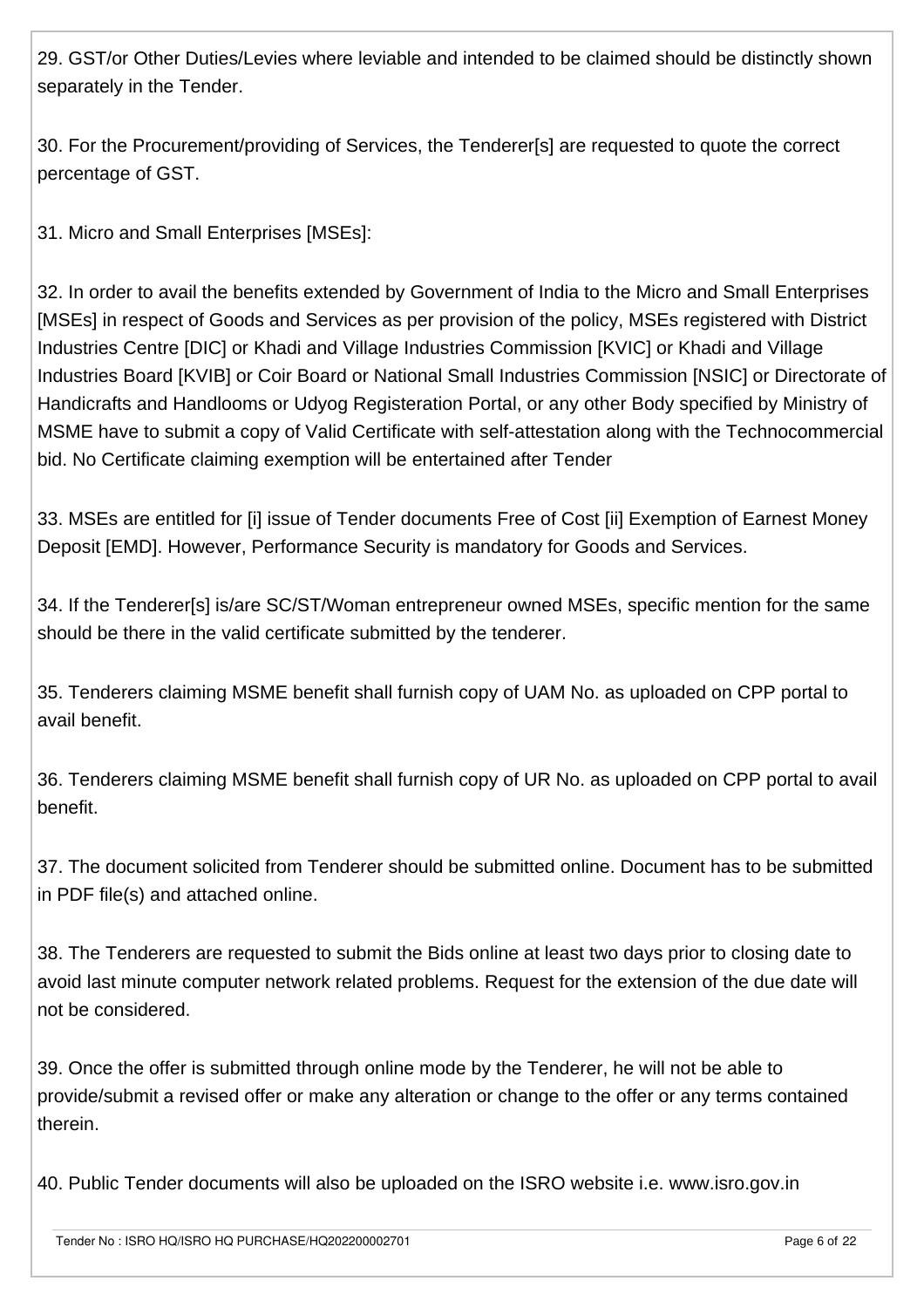29. GST/or Other Duties/Levies where leviable and intended to be claimed should be distinctly shown separately in the Tender.

30. For the Procurement/providing of Services, the Tenderer[s] are requested to quote the correct percentage of GST.

31. Micro and Small Enterprises [MSEs]:

32. In order to avail the benefits extended by Government of India to the Micro and Small Enterprises [MSEs] in respect of Goods and Services as per provision of the policy, MSEs registered with District Industries Centre [DIC] or Khadi and Village Industries Commission [KVIC] or Khadi and Village Industries Board [KVIB] or Coir Board or National Small Industries Commission [NSIC] or Directorate of Handicrafts and Handlooms or Udyog Registeration Portal, or any other Body specified by Ministry of MSME have to submit a copy of Valid Certificate with self-attestation along with the Technocommercial bid. No Certificate claiming exemption will be entertained after Tender

33. MSEs are entitled for [i] issue of Tender documents Free of Cost [ii] Exemption of Earnest Money Deposit [EMD]. However, Performance Security is mandatory for Goods and Services.

34. If the Tenderer[s] is/are SC/ST/Woman entrepreneur owned MSEs, specific mention for the same should be there in the valid certificate submitted by the tenderer.

35. Tenderers claiming MSME benefit shall furnish copy of UAM No. as uploaded on CPP portal to avail benefit.

36. Tenderers claiming MSME benefit shall furnish copy of UR No. as uploaded on CPP portal to avail benefit.

37. The document solicited from Tenderer should be submitted online. Document has to be submitted in PDF file(s) and attached online.

38. The Tenderers are requested to submit the Bids online at least two days prior to closing date to avoid last minute computer network related problems. Request for the extension of the due date will not be considered.

39. Once the offer is submitted through online mode by the Tenderer, he will not be able to provide/submit a revised offer or make any alteration or change to the offer or any terms contained therein.

40. Public Tender documents will also be uploaded on the ISRO website i.e. www.isro.gov.in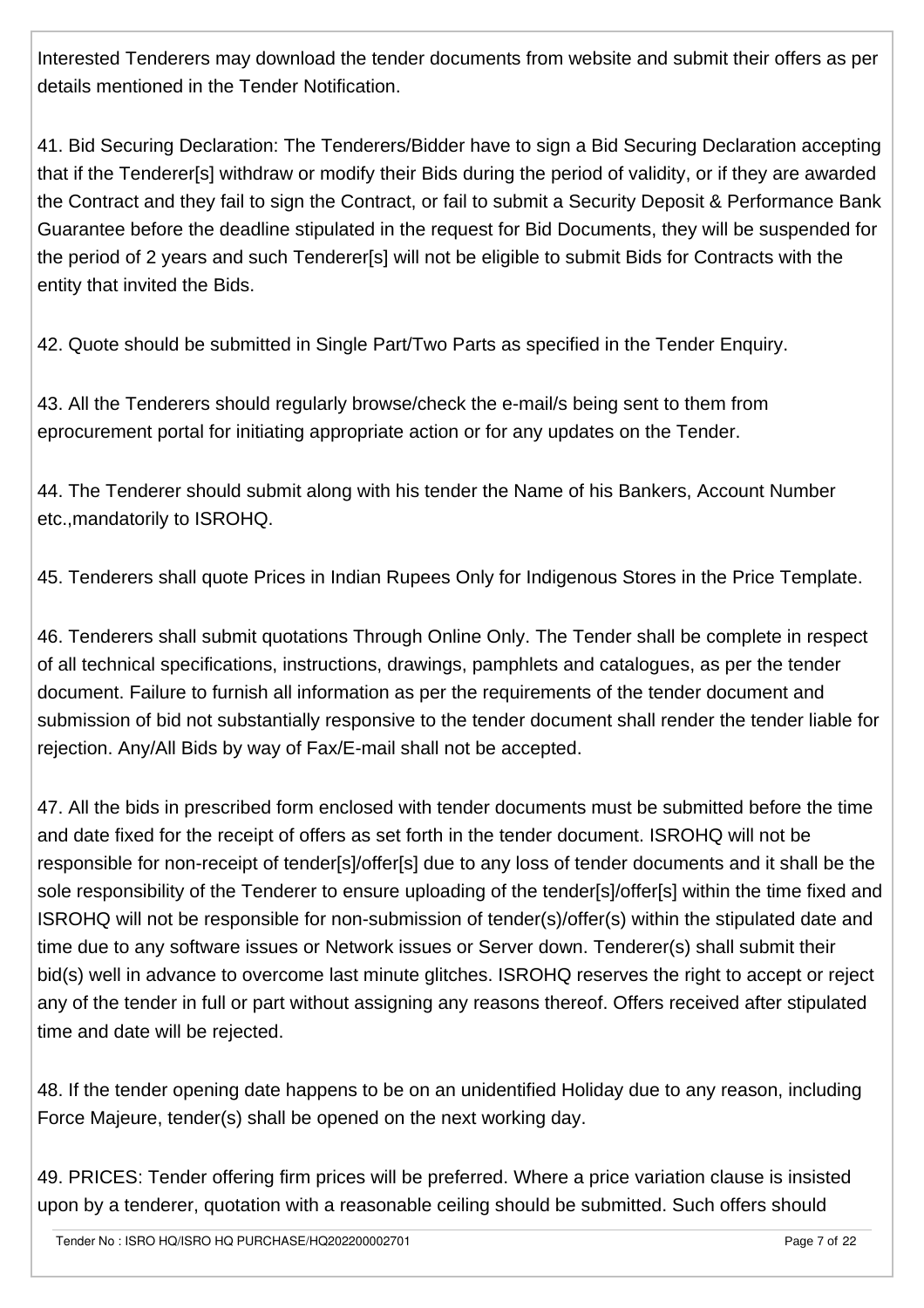Interested Tenderers may download the tender documents from website and submit their offers as per details mentioned in the Tender Notification.

41. Bid Securing Declaration: The Tenderers/Bidder have to sign a Bid Securing Declaration accepting that if the Tenderer[s] withdraw or modify their Bids during the period of validity, or if they are awarded the Contract and they fail to sign the Contract, or fail to submit a Security Deposit & Performance Bank Guarantee before the deadline stipulated in the request for Bid Documents, they will be suspended for the period of 2 years and such Tenderer[s] will not be eligible to submit Bids for Contracts with the entity that invited the Bids.

42. Quote should be submitted in Single Part/Two Parts as specified in the Tender Enquiry.

43. All the Tenderers should regularly browse/check the e-mail/s being sent to them from eprocurement portal for initiating appropriate action or for any updates on the Tender.

44. The Tenderer should submit along with his tender the Name of his Bankers, Account Number etc.,mandatorily to ISROHQ.

45. Tenderers shall quote Prices in Indian Rupees Only for Indigenous Stores in the Price Template.

46. Tenderers shall submit quotations Through Online Only. The Tender shall be complete in respect of all technical specifications, instructions, drawings, pamphlets and catalogues, as per the tender document. Failure to furnish all information as per the requirements of the tender document and submission of bid not substantially responsive to the tender document shall render the tender liable for rejection. Any/All Bids by way of Fax/E-mail shall not be accepted.

47. All the bids in prescribed form enclosed with tender documents must be submitted before the time and date fixed for the receipt of offers as set forth in the tender document. ISROHQ will not be responsible for non-receipt of tender[s]/offer[s] due to any loss of tender documents and it shall be the sole responsibility of the Tenderer to ensure uploading of the tender[s]/offer[s] within the time fixed and ISROHQ will not be responsible for non-submission of tender(s)/offer(s) within the stipulated date and time due to any software issues or Network issues or Server down. Tenderer(s) shall submit their bid(s) well in advance to overcome last minute glitches. ISROHQ reserves the right to accept or reject any of the tender in full or part without assigning any reasons thereof. Offers received after stipulated time and date will be rejected.

48. If the tender opening date happens to be on an unidentified Holiday due to any reason, including Force Majeure, tender(s) shall be opened on the next working day.

49. PRICES: Tender offering firm prices will be preferred. Where a price variation clause is insisted upon by a tenderer, quotation with a reasonable ceiling should be submitted. Such offers should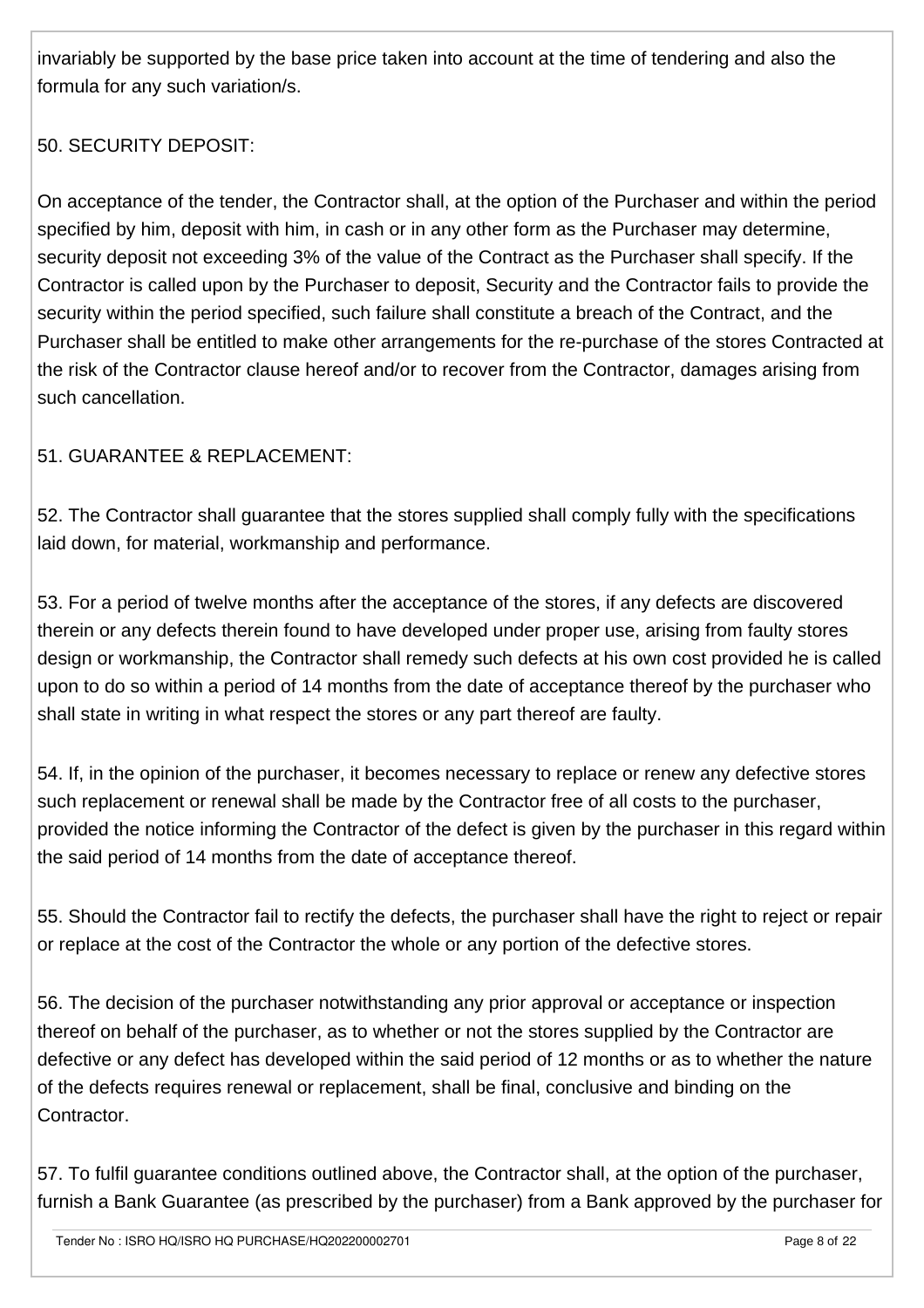invariably be supported by the base price taken into account at the time of tendering and also the formula for any such variation/s.

# 50. SECURITY DEPOSIT:

On acceptance of the tender, the Contractor shall, at the option of the Purchaser and within the period specified by him, deposit with him, in cash or in any other form as the Purchaser may determine, security deposit not exceeding 3% of the value of the Contract as the Purchaser shall specify. If the Contractor is called upon by the Purchaser to deposit, Security and the Contractor fails to provide the security within the period specified, such failure shall constitute a breach of the Contract, and the Purchaser shall be entitled to make other arrangements for the re-purchase of the stores Contracted at the risk of the Contractor clause hereof and/or to recover from the Contractor, damages arising from such cancellation.

## 51. GUARANTEE & REPLACEMENT:

52. The Contractor shall guarantee that the stores supplied shall comply fully with the specifications laid down, for material, workmanship and performance.

53. For a period of twelve months after the acceptance of the stores, if any defects are discovered therein or any defects therein found to have developed under proper use, arising from faulty stores design or workmanship, the Contractor shall remedy such defects at his own cost provided he is called upon to do so within a period of 14 months from the date of acceptance thereof by the purchaser who shall state in writing in what respect the stores or any part thereof are faulty.

54. If, in the opinion of the purchaser, it becomes necessary to replace or renew any defective stores such replacement or renewal shall be made by the Contractor free of all costs to the purchaser, provided the notice informing the Contractor of the defect is given by the purchaser in this regard within the said period of 14 months from the date of acceptance thereof.

55. Should the Contractor fail to rectify the defects, the purchaser shall have the right to reject or repair or replace at the cost of the Contractor the whole or any portion of the defective stores.

56. The decision of the purchaser notwithstanding any prior approval or acceptance or inspection thereof on behalf of the purchaser, as to whether or not the stores supplied by the Contractor are defective or any defect has developed within the said period of 12 months or as to whether the nature of the defects requires renewal or replacement, shall be final, conclusive and binding on the Contractor.

57. To fulfil guarantee conditions outlined above, the Contractor shall, at the option of the purchaser, furnish a Bank Guarantee (as prescribed by the purchaser) from a Bank approved by the purchaser for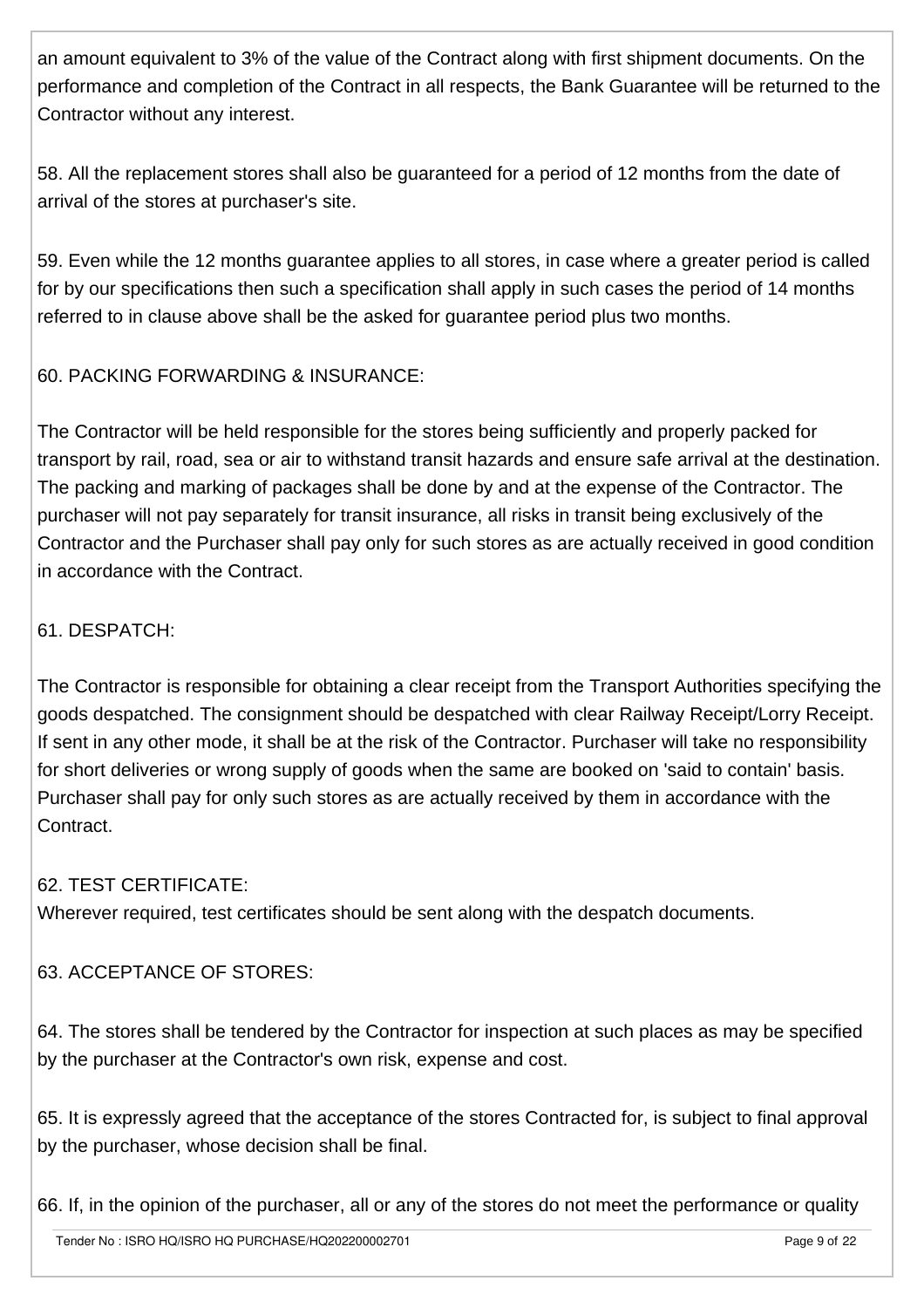an amount equivalent to 3% of the value of the Contract along with first shipment documents. On the performance and completion of the Contract in all respects, the Bank Guarantee will be returned to the Contractor without any interest.

58. All the replacement stores shall also be guaranteed for a period of 12 months from the date of arrival of the stores at purchaser's site.

59. Even while the 12 months guarantee applies to all stores, in case where a greater period is called for by our specifications then such a specification shall apply in such cases the period of 14 months referred to in clause above shall be the asked for guarantee period plus two months.

#### 60. PACKING FORWARDING & INSURANCE:

The Contractor will be held responsible for the stores being sufficiently and properly packed for transport by rail, road, sea or air to withstand transit hazards and ensure safe arrival at the destination. The packing and marking of packages shall be done by and at the expense of the Contractor. The purchaser will not pay separately for transit insurance, all risks in transit being exclusively of the Contractor and the Purchaser shall pay only for such stores as are actually received in good condition in accordance with the Contract.

#### 61. DESPATCH:

The Contractor is responsible for obtaining a clear receipt from the Transport Authorities specifying the goods despatched. The consignment should be despatched with clear Railway Receipt/Lorry Receipt. If sent in any other mode, it shall be at the risk of the Contractor. Purchaser will take no responsibility for short deliveries or wrong supply of goods when the same are booked on 'said to contain' basis. Purchaser shall pay for only such stores as are actually received by them in accordance with the Contract.

#### 62. TEST CERTIFICATE:

Wherever required, test certificates should be sent along with the despatch documents.

#### 63. ACCEPTANCE OF STORES:

64. The stores shall be tendered by the Contractor for inspection at such places as may be specified by the purchaser at the Contractor's own risk, expense and cost.

65. It is expressly agreed that the acceptance of the stores Contracted for, is subject to final approval by the purchaser, whose decision shall be final.

66. If, in the opinion of the purchaser, all or any of the stores do not meet the performance or quality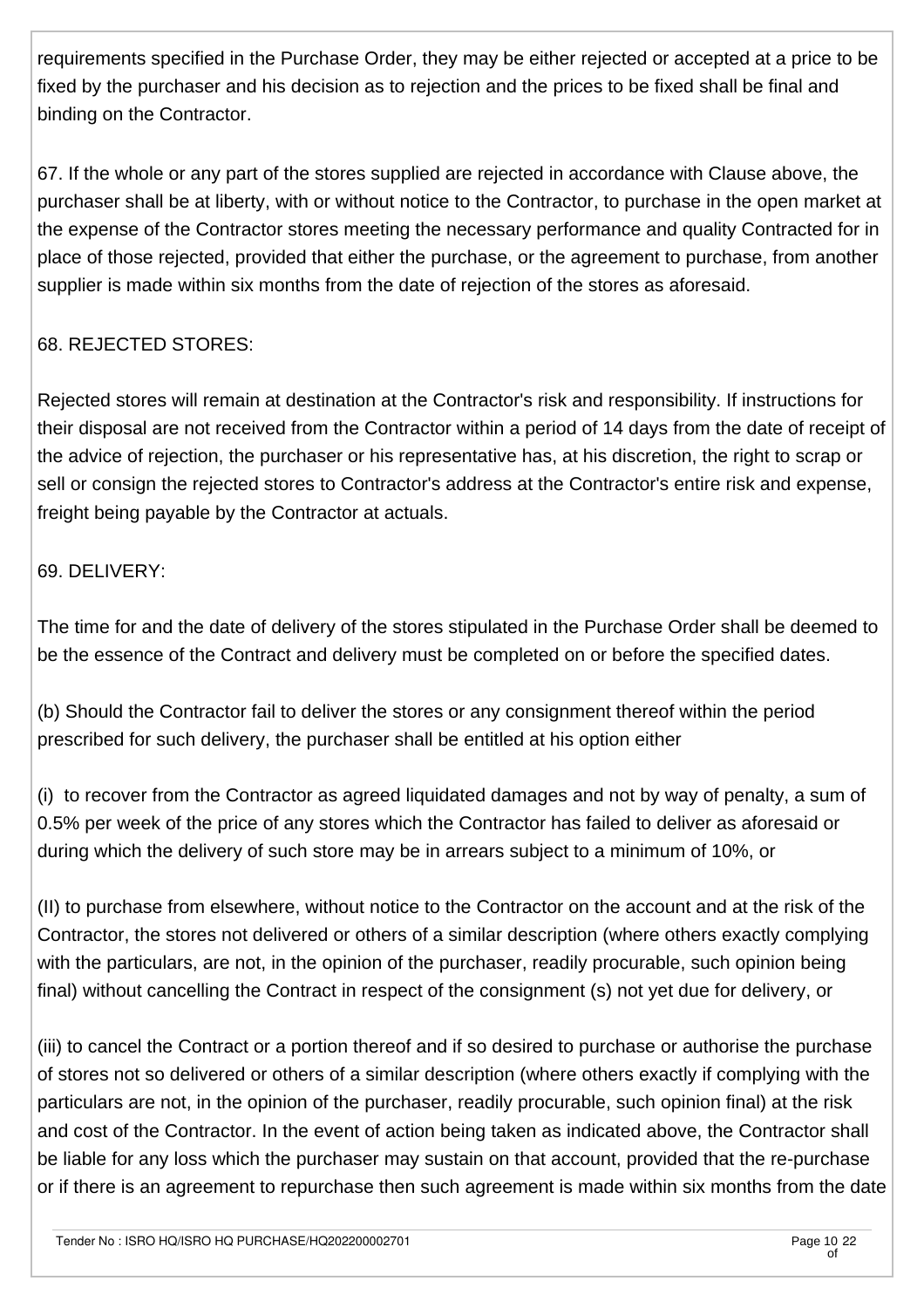requirements specified in the Purchase Order, they may be either rejected or accepted at a price to be fixed by the purchaser and his decision as to rejection and the prices to be fixed shall be final and binding on the Contractor.

67. If the whole or any part of the stores supplied are rejected in accordance with Clause above, the purchaser shall be at liberty, with or without notice to the Contractor, to purchase in the open market at the expense of the Contractor stores meeting the necessary performance and quality Contracted for in place of those rejected, provided that either the purchase, or the agreement to purchase, from another supplier is made within six months from the date of rejection of the stores as aforesaid.

## 68. REJECTED STORES:

Rejected stores will remain at destination at the Contractor's risk and responsibility. If instructions for their disposal are not received from the Contractor within a period of 14 days from the date of receipt of the advice of rejection, the purchaser or his representative has, at his discretion, the right to scrap or sell or consign the rejected stores to Contractor's address at the Contractor's entire risk and expense, freight being payable by the Contractor at actuals.

#### 69. DELIVERY:

The time for and the date of delivery of the stores stipulated in the Purchase Order shall be deemed to be the essence of the Contract and delivery must be completed on or before the specified dates.

(b) Should the Contractor fail to deliver the stores or any consignment thereof within the period prescribed for such delivery, the purchaser shall be entitled at his option either

(i) to recover from the Contractor as agreed liquidated damages and not by way of penalty, a sum of 0.5% per week of the price of any stores which the Contractor has failed to deliver as aforesaid or during which the delivery of such store may be in arrears subject to a minimum of 10%, or

(II) to purchase from elsewhere, without notice to the Contractor on the account and at the risk of the Contractor, the stores not delivered or others of a similar description (where others exactly complying with the particulars, are not, in the opinion of the purchaser, readily procurable, such opinion being final) without cancelling the Contract in respect of the consignment (s) not yet due for delivery, or

(iii) to cancel the Contract or a portion thereof and if so desired to purchase or authorise the purchase of stores not so delivered or others of a similar description (where others exactly if complying with the particulars are not, in the opinion of the purchaser, readily procurable, such opinion final) at the risk and cost of the Contractor. In the event of action being taken as indicated above, the Contractor shall be liable for any loss which the purchaser may sustain on that account, provided that the re-purchase or if there is an agreement to repurchase then such agreement is made within six months from the date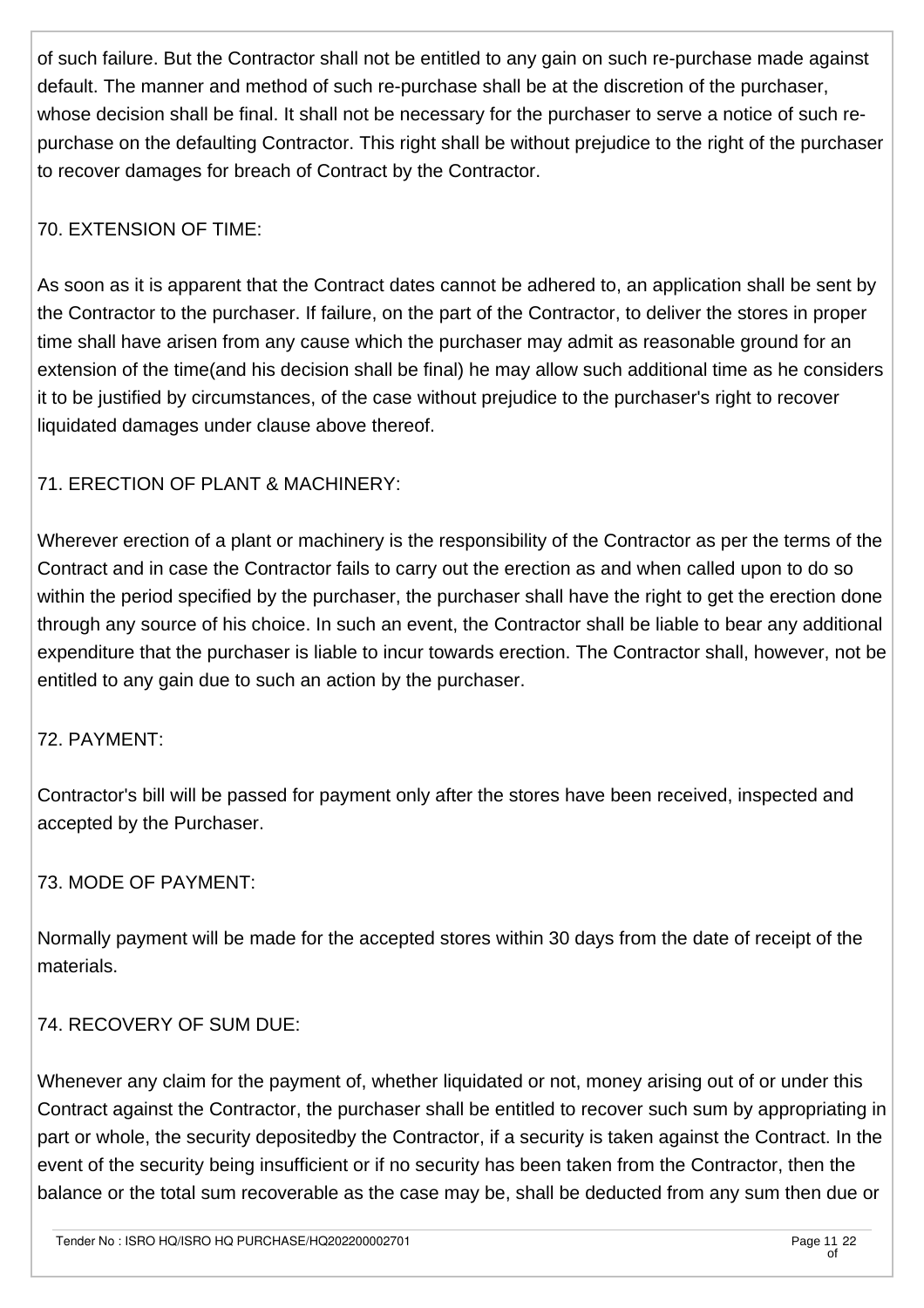of such failure. But the Contractor shall not be entitled to any gain on such re-purchase made against default. The manner and method of such re-purchase shall be at the discretion of the purchaser, whose decision shall be final. It shall not be necessary for the purchaser to serve a notice of such repurchase on the defaulting Contractor. This right shall be without prejudice to the right of the purchaser to recover damages for breach of Contract by the Contractor.

## 70. EXTENSION OF TIME:

As soon as it is apparent that the Contract dates cannot be adhered to, an application shall be sent by the Contractor to the purchaser. If failure, on the part of the Contractor, to deliver the stores in proper time shall have arisen from any cause which the purchaser may admit as reasonable ground for an extension of the time(and his decision shall be final) he may allow such additional time as he considers it to be justified by circumstances, of the case without prejudice to the purchaser's right to recover liquidated damages under clause above thereof.

# 71. ERECTION OF PLANT & MACHINERY:

Wherever erection of a plant or machinery is the responsibility of the Contractor as per the terms of the Contract and in case the Contractor fails to carry out the erection as and when called upon to do so within the period specified by the purchaser, the purchaser shall have the right to get the erection done through any source of his choice. In such an event, the Contractor shall be liable to bear any additional expenditure that the purchaser is liable to incur towards erection. The Contractor shall, however, not be entitled to any gain due to such an action by the purchaser.

## 72. PAYMENT:

Contractor's bill will be passed for payment only after the stores have been received, inspected and accepted by the Purchaser.

## 73. MODE OF PAYMENT:

Normally payment will be made for the accepted stores within 30 days from the date of receipt of the materials.

## 74. RECOVERY OF SUM DUE:

Whenever any claim for the payment of, whether liquidated or not, money arising out of or under this Contract against the Contractor, the purchaser shall be entitled to recover such sum by appropriating in part or whole, the security depositedby the Contractor, if a security is taken against the Contract. In the event of the security being insufficient or if no security has been taken from the Contractor, then the balance or the total sum recoverable as the case may be, shall be deducted from any sum then due or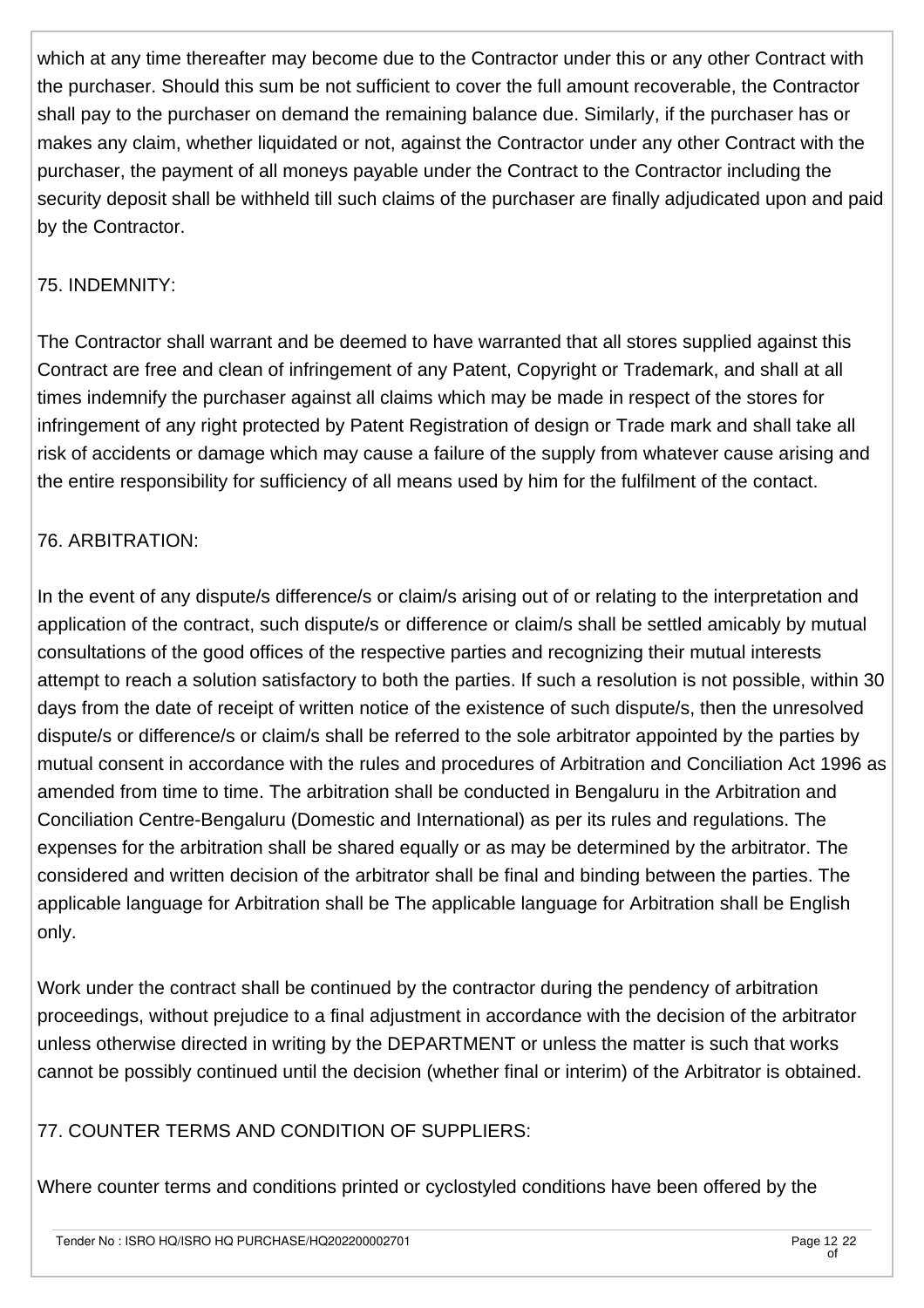which at any time thereafter may become due to the Contractor under this or any other Contract with the purchaser. Should this sum be not sufficient to cover the full amount recoverable, the Contractor shall pay to the purchaser on demand the remaining balance due. Similarly, if the purchaser has or makes any claim, whether liquidated or not, against the Contractor under any other Contract with the purchaser, the payment of all moneys payable under the Contract to the Contractor including the security deposit shall be withheld till such claims of the purchaser are finally adjudicated upon and paid by the Contractor.

#### 75. INDEMNITY:

The Contractor shall warrant and be deemed to have warranted that all stores supplied against this Contract are free and clean of infringement of any Patent, Copyright or Trademark, and shall at all times indemnify the purchaser against all claims which may be made in respect of the stores for infringement of any right protected by Patent Registration of design or Trade mark and shall take all risk of accidents or damage which may cause a failure of the supply from whatever cause arising and the entire responsibility for sufficiency of all means used by him for the fulfilment of the contact.

#### 76. ARBITRATION:

In the event of any dispute/s difference/s or claim/s arising out of or relating to the interpretation and application of the contract, such dispute/s or difference or claim/s shall be settled amicably by mutual consultations of the good offices of the respective parties and recognizing their mutual interests attempt to reach a solution satisfactory to both the parties. If such a resolution is not possible, within 30 days from the date of receipt of written notice of the existence of such dispute/s, then the unresolved dispute/s or difference/s or claim/s shall be referred to the sole arbitrator appointed by the parties by mutual consent in accordance with the rules and procedures of Arbitration and Conciliation Act 1996 as amended from time to time. The arbitration shall be conducted in Bengaluru in the Arbitration and Conciliation Centre-Bengaluru (Domestic and International) as per its rules and regulations. The expenses for the arbitration shall be shared equally or as may be determined by the arbitrator. The considered and written decision of the arbitrator shall be final and binding between the parties. The applicable language for Arbitration shall be The applicable language for Arbitration shall be English only.

Work under the contract shall be continued by the contractor during the pendency of arbitration proceedings, without prejudice to a final adjustment in accordance with the decision of the arbitrator unless otherwise directed in writing by the DEPARTMENT or unless the matter is such that works cannot be possibly continued until the decision (whether final or interim) of the Arbitrator is obtained.

#### 77. COUNTER TERMS AND CONDITION OF SUPPLIERS:

Where counter terms and conditions printed or cyclostyled conditions have been offered by the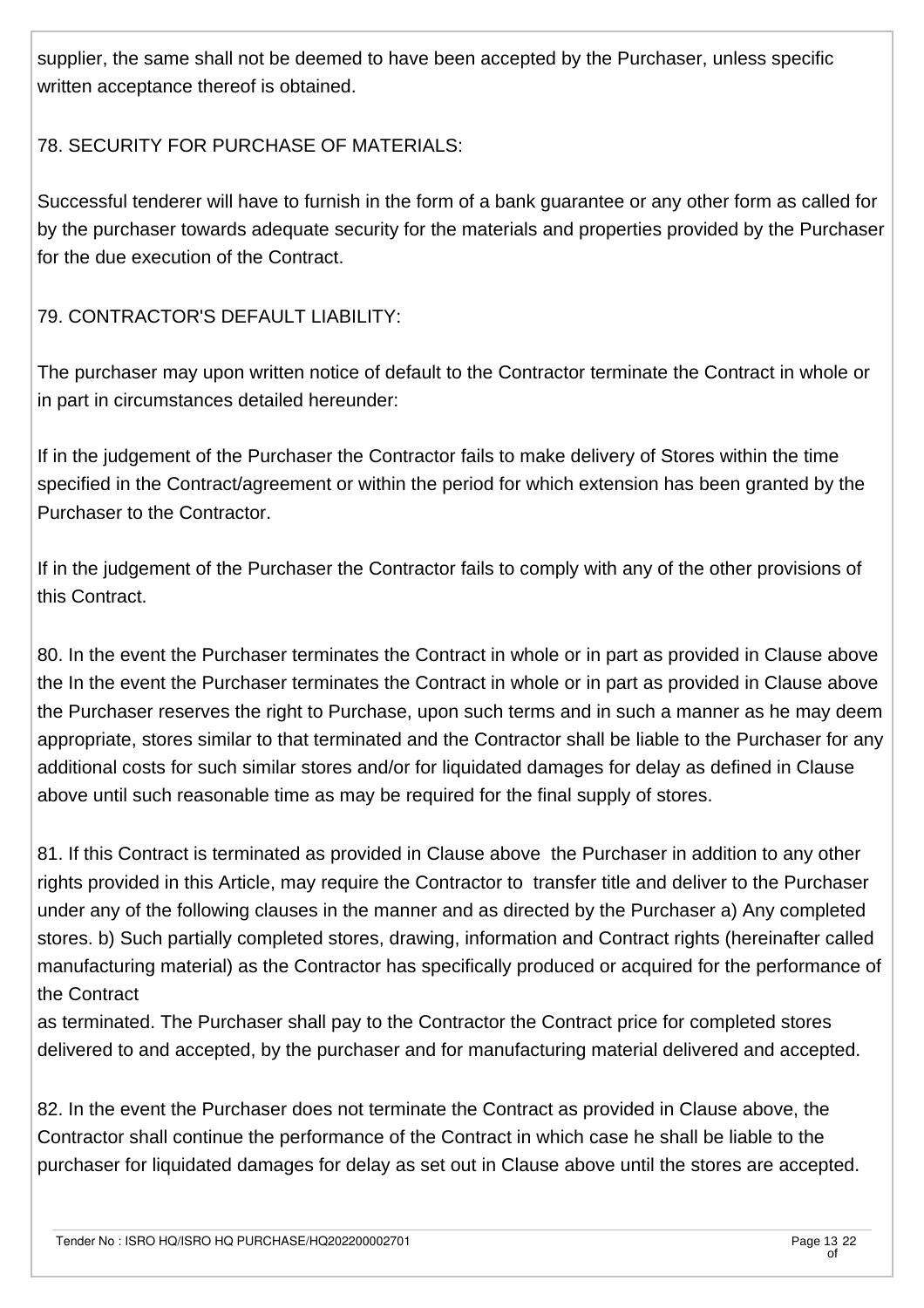supplier, the same shall not be deemed to have been accepted by the Purchaser, unless specific written acceptance thereof is obtained.

#### 78. SECURITY FOR PURCHASE OF MATERIALS:

Successful tenderer will have to furnish in the form of a bank guarantee or any other form as called for by the purchaser towards adequate security for the materials and properties provided by the Purchaser for the due execution of the Contract.

79. CONTRACTOR'S DEFAULT LIABILITY:

The purchaser may upon written notice of default to the Contractor terminate the Contract in whole or in part in circumstances detailed hereunder:

If in the judgement of the Purchaser the Contractor fails to make delivery of Stores within the time specified in the Contract/agreement or within the period for which extension has been granted by the Purchaser to the Contractor.

If in the judgement of the Purchaser the Contractor fails to comply with any of the other provisions of this Contract.

80. In the event the Purchaser terminates the Contract in whole or in part as provided in Clause above the In the event the Purchaser terminates the Contract in whole or in part as provided in Clause above the Purchaser reserves the right to Purchase, upon such terms and in such a manner as he may deem appropriate, stores similar to that terminated and the Contractor shall be liable to the Purchaser for any additional costs for such similar stores and/or for liquidated damages for delay as defined in Clause above until such reasonable time as may be required for the final supply of stores.

81. If this Contract is terminated as provided in Clause above the Purchaser in addition to any other rights provided in this Article, may require the Contractor to transfer title and deliver to the Purchaser under any of the following clauses in the manner and as directed by the Purchaser a) Any completed stores. b) Such partially completed stores, drawing, information and Contract rights (hereinafter called manufacturing material) as the Contractor has specifically produced or acquired for the performance of the Contract

as terminated. The Purchaser shall pay to the Contractor the Contract price for completed stores delivered to and accepted, by the purchaser and for manufacturing material delivered and accepted.

82. In the event the Purchaser does not terminate the Contract as provided in Clause above, the Contractor shall continue the performance of the Contract in which case he shall be liable to the purchaser for liquidated damages for delay as set out in Clause above until the stores are accepted.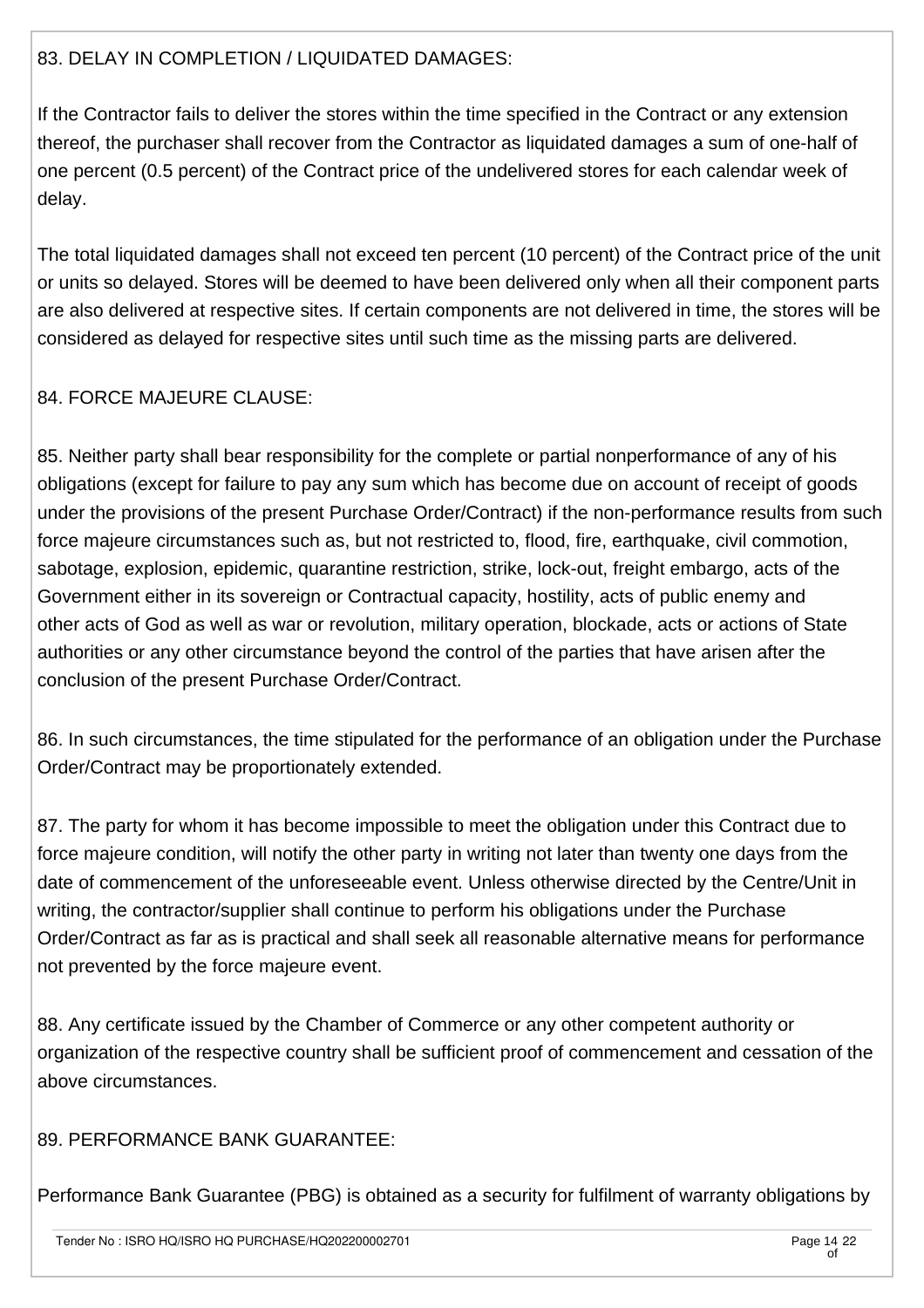#### 83. DELAY IN COMPLETION / LIQUIDATED DAMAGES:

If the Contractor fails to deliver the stores within the time specified in the Contract or any extension thereof, the purchaser shall recover from the Contractor as liquidated damages a sum of one-half of one percent (0.5 percent) of the Contract price of the undelivered stores for each calendar week of delay.

The total liquidated damages shall not exceed ten percent (10 percent) of the Contract price of the unit or units so delayed. Stores will be deemed to have been delivered only when all their component parts are also delivered at respective sites. If certain components are not delivered in time, the stores will be considered as delayed for respective sites until such time as the missing parts are delivered.

#### 84. FORCE MAJEURE CLAUSE:

85. Neither party shall bear responsibility for the complete or partial nonperformance of any of his obligations (except for failure to pay any sum which has become due on account of receipt of goods under the provisions of the present Purchase Order/Contract) if the non-performance results from such force majeure circumstances such as, but not restricted to, flood, fire, earthquake, civil commotion, sabotage, explosion, epidemic, quarantine restriction, strike, lock-out, freight embargo, acts of the Government either in its sovereign or Contractual capacity, hostility, acts of public enemy and other acts of God as well as war or revolution, military operation, blockade, acts or actions of State authorities or any other circumstance beyond the control of the parties that have arisen after the conclusion of the present Purchase Order/Contract.

86. In such circumstances, the time stipulated for the performance of an obligation under the Purchase Order/Contract may be proportionately extended.

87. The party for whom it has become impossible to meet the obligation under this Contract due to force majeure condition, will notify the other party in writing not later than twenty one days from the date of commencement of the unforeseeable event. Unless otherwise directed by the Centre/Unit in writing, the contractor/supplier shall continue to perform his obligations under the Purchase Order/Contract as far as is practical and shall seek all reasonable alternative means for performance not prevented by the force majeure event.

88. Any certificate issued by the Chamber of Commerce or any other competent authority or organization of the respective country shall be sufficient proof of commencement and cessation of the above circumstances.

89. PERFORMANCE BANK GUARANTEE:

Performance Bank Guarantee (PBG) is obtained as a security for fulfilment of warranty obligations by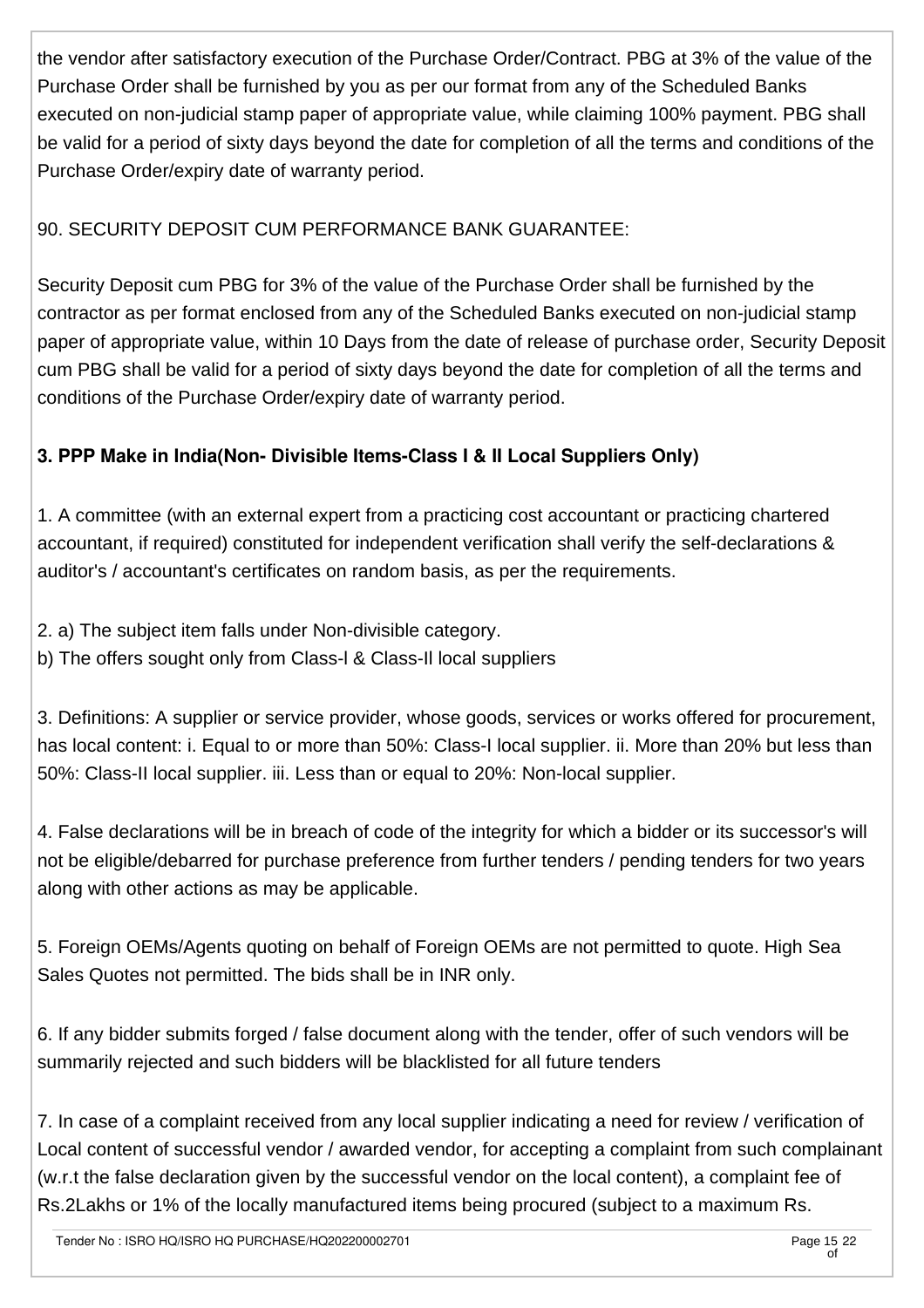the vendor after satisfactory execution of the Purchase Order/Contract. PBG at 3% of the value of the Purchase Order shall be furnished by you as per our format from any of the Scheduled Banks executed on non-judicial stamp paper of appropriate value, while claiming 100% payment. PBG shall be valid for a period of sixty days beyond the date for completion of all the terms and conditions of the Purchase Order/expiry date of warranty period.

## 90. SECURITY DEPOSIT CUM PERFORMANCE BANK GUARANTEE:

Security Deposit cum PBG for 3% of the value of the Purchase Order shall be furnished by the contractor as per format enclosed from any of the Scheduled Banks executed on non-judicial stamp paper of appropriate value, within 10 Days from the date of release of purchase order, Security Deposit cum PBG shall be valid for a period of sixty days beyond the date for completion of all the terms and conditions of the Purchase Order/expiry date of warranty period.

# **3. PPP Make in India(Non- Divisible Items-Class I & II Local Suppliers Only)**

1. A committee (with an external expert from a practicing cost accountant or practicing chartered accountant, if required) constituted for independent verification shall verify the self-declarations & auditor's / accountant's certificates on random basis, as per the requirements.

2. a) The subject item falls under Non-divisible category.

b) The offers sought only from Class-l & Class-Il local suppliers

3. Definitions: A supplier or service provider, whose goods, services or works offered for procurement, has local content: i. Equal to or more than 50%: Class-I local supplier. ii. More than 20% but less than 50%: Class-II local supplier. iii. Less than or equal to 20%: Non-local supplier.

4. False declarations will be in breach of code of the integrity for which a bidder or its successor's will not be eligible/debarred for purchase preference from further tenders / pending tenders for two years along with other actions as may be applicable.

5. Foreign OEMs/Agents quoting on behalf of Foreign OEMs are not permitted to quote. High Sea Sales Quotes not permitted. The bids shall be in INR only.

6. If any bidder submits forged / false document along with the tender, offer of such vendors will be summarily rejected and such bidders will be blacklisted for all future tenders

7. In case of a complaint received from any local supplier indicating a need for review / verification of Local content of successful vendor / awarded vendor, for accepting a complaint from such complainant (w.r.t the false declaration given by the successful vendor on the local content), a complaint fee of Rs.2Lakhs or 1% of the locally manufactured items being procured (subject to a maximum Rs.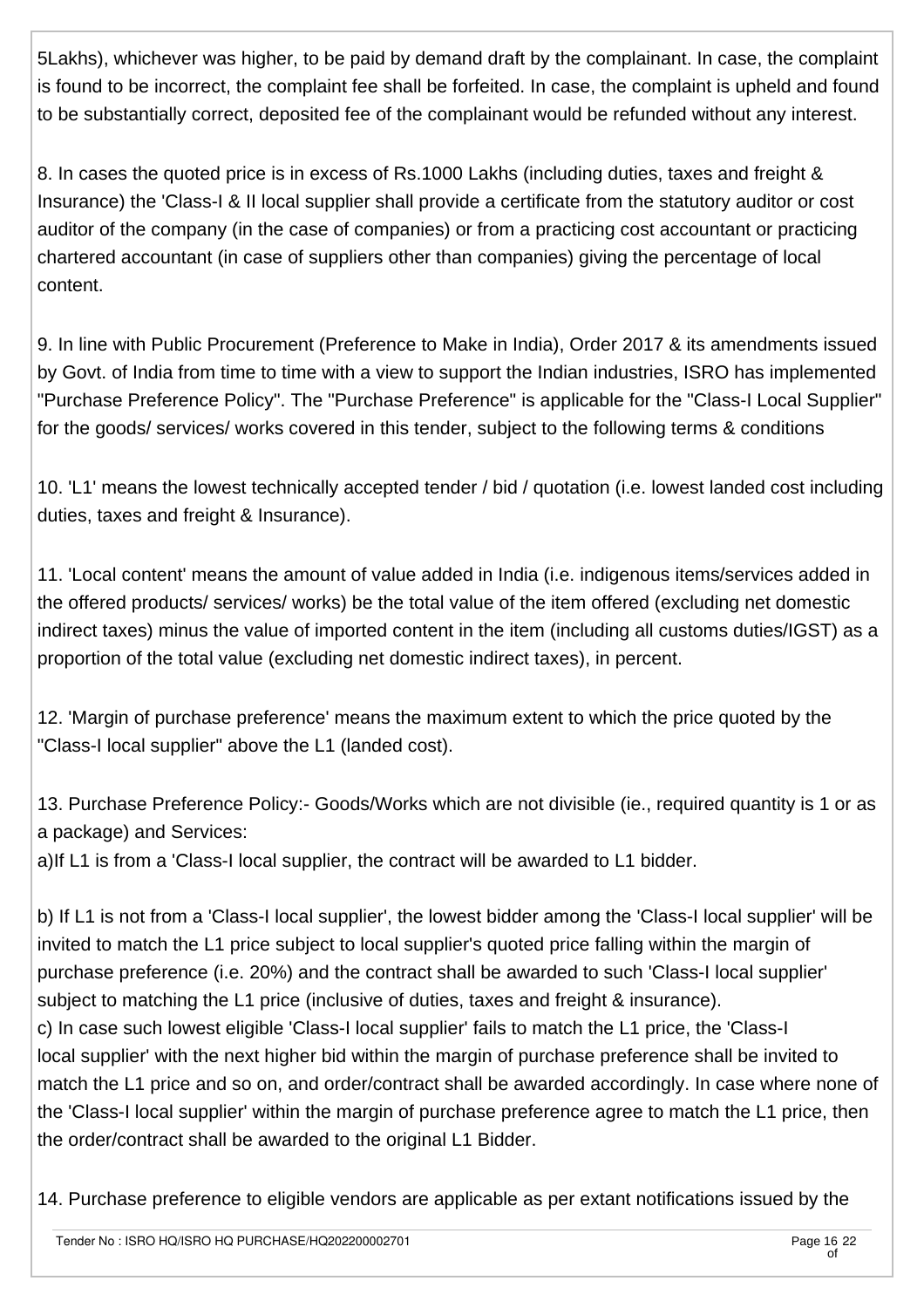5Lakhs), whichever was higher, to be paid by demand draft by the complainant. In case, the complaint is found to be incorrect, the complaint fee shall be forfeited. In case, the complaint is upheld and found to be substantially correct, deposited fee of the complainant would be refunded without any interest.

8. In cases the quoted price is in excess of Rs.1000 Lakhs (including duties, taxes and freight & Insurance) the 'Class-I & II local supplier shall provide a certificate from the statutory auditor or cost auditor of the company (in the case of companies) or from a practicing cost accountant or practicing chartered accountant (in case of suppliers other than companies) giving the percentage of local content.

9. In line with Public Procurement (Preference to Make in India), Order 2017 & its amendments issued by Govt. of India from time to time with a view to support the Indian industries, ISRO has implemented "Purchase Preference Policy". The "Purchase Preference" is applicable for the "Class-I Local Supplier" for the goods/ services/ works covered in this tender, subject to the following terms & conditions

10. 'L1' means the lowest technically accepted tender / bid / quotation (i.e. lowest landed cost including duties, taxes and freight & Insurance).

11. 'Local content' means the amount of value added in India (i.e. indigenous items/services added in the offered products/ services/ works) be the total value of the item offered (excluding net domestic indirect taxes) minus the value of imported content in the item (including all customs duties/IGST) as a proportion of the total value (excluding net domestic indirect taxes), in percent.

12. 'Margin of purchase preference' means the maximum extent to which the price quoted by the "Class-I local supplier" above the L1 (landed cost).

13. Purchase Preference Policy:- Goods/Works which are not divisible (ie., required quantity is 1 or as a package) and Services:

a)If L1 is from a 'Class-I local supplier, the contract will be awarded to L1 bidder.

b) If L1 is not from a 'Class-I local supplier', the lowest bidder among the 'Class-I local supplier' will be invited to match the L1 price subject to local supplier's quoted price falling within the margin of purchase preference (i.e. 20%) and the contract shall be awarded to such 'Class-I local supplier' subiect to matching the L1 price (inclusive of duties, taxes and freight & insurance). c) In case such lowest eligible 'Class-I local supplier' fails to match the L1 price, the 'Class-I local supplier' with the next higher bid within the margin of purchase preference shall be invited to match the L1 price and so on, and order/contract shall be awarded accordingly. In case where none of the 'Class-I local supplier' within the margin of purchase preference agree to match the L1 price, then the order/contract shall be awarded to the original L1 Bidder.

14. Purchase preference to eligible vendors are applicable as per extant notifications issued by the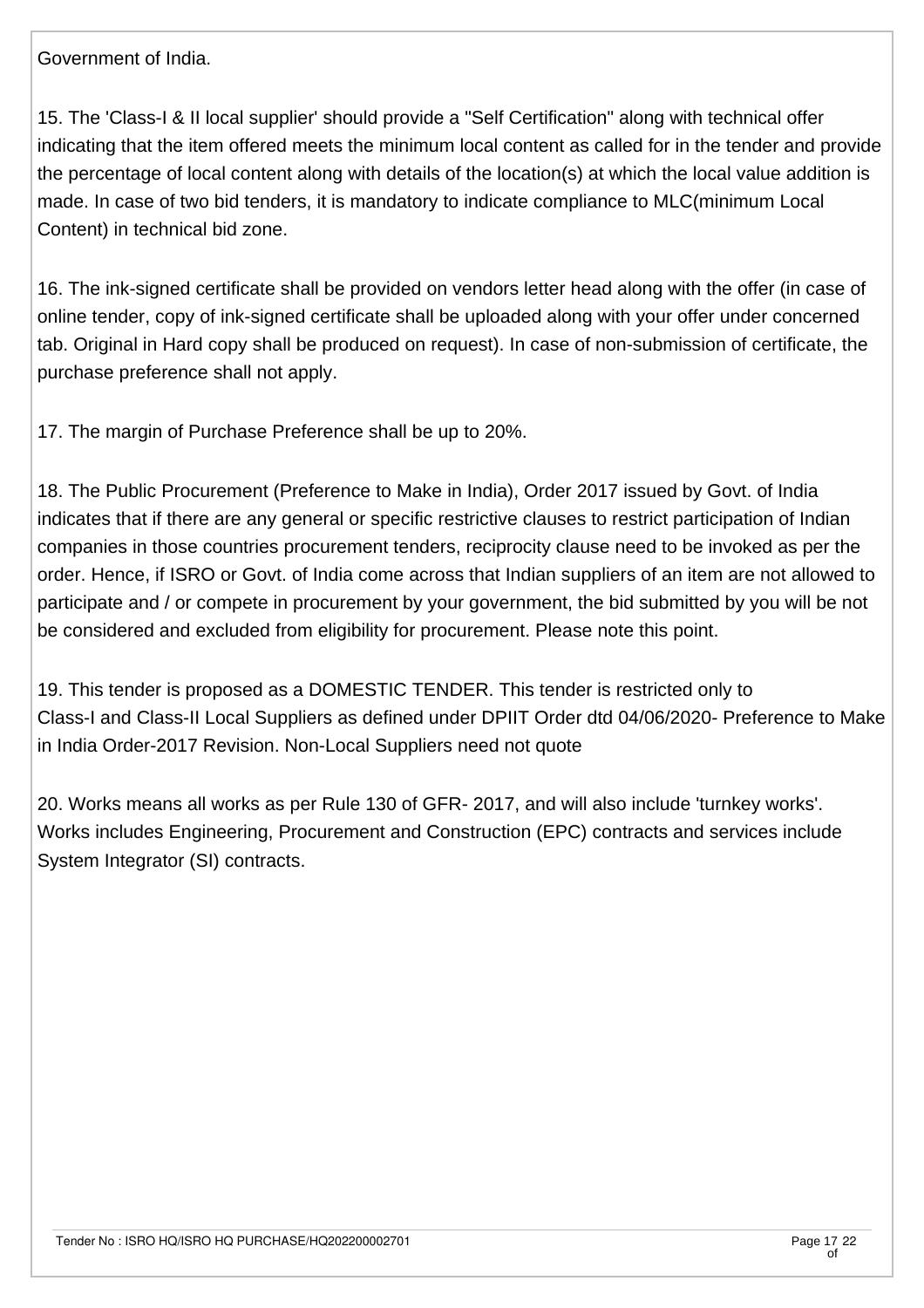Government of India.

15. The 'Class-I & II local supplier' should provide a "Self Certification" along with technical offer indicating that the item offered meets the minimum local content as called for in the tender and provide the percentage of local content along with details of the location(s) at which the local value addition is made. In case of two bid tenders, it is mandatory to indicate compliance to MLC(minimum Local Content) in technical bid zone.

16. The ink-signed certificate shall be provided on vendors letter head along with the offer (in case of online tender, copy of ink-signed certificate shall be uploaded along with your offer under concerned tab. Original in Hard copy shall be produced on request). In case of non-submission of certificate, the purchase preference shall not apply.

17. The margin of Purchase Preference shall be up to 20%.

18. The Public Procurement (Preference to Make in India), Order 2017 issued by Govt. of India indicates that if there are any general or specific restrictive clauses to restrict participation of Indian companies in those countries procurement tenders, reciprocity clause need to be invoked as per the order. Hence, if ISRO or Govt. of India come across that Indian suppliers of an item are not allowed to participate and / or compete in procurement by your government, the bid submitted by you will be not be considered and excluded from eligibility for procurement. Please note this point.

19. This tender is proposed as a DOMESTIC TENDER. This tender is restricted only to Class-I and Class-II Local Suppliers as defined under DPIIT Order dtd 04/06/2020- Preference to Make in India Order-2017 Revision. Non-Local Suppliers need not quote

20. Works means all works as per Rule 130 of GFR- 2017, and will also include 'turnkey works'. Works includes Engineering, Procurement and Construction (EPC) contracts and services include System Integrator (SI) contracts.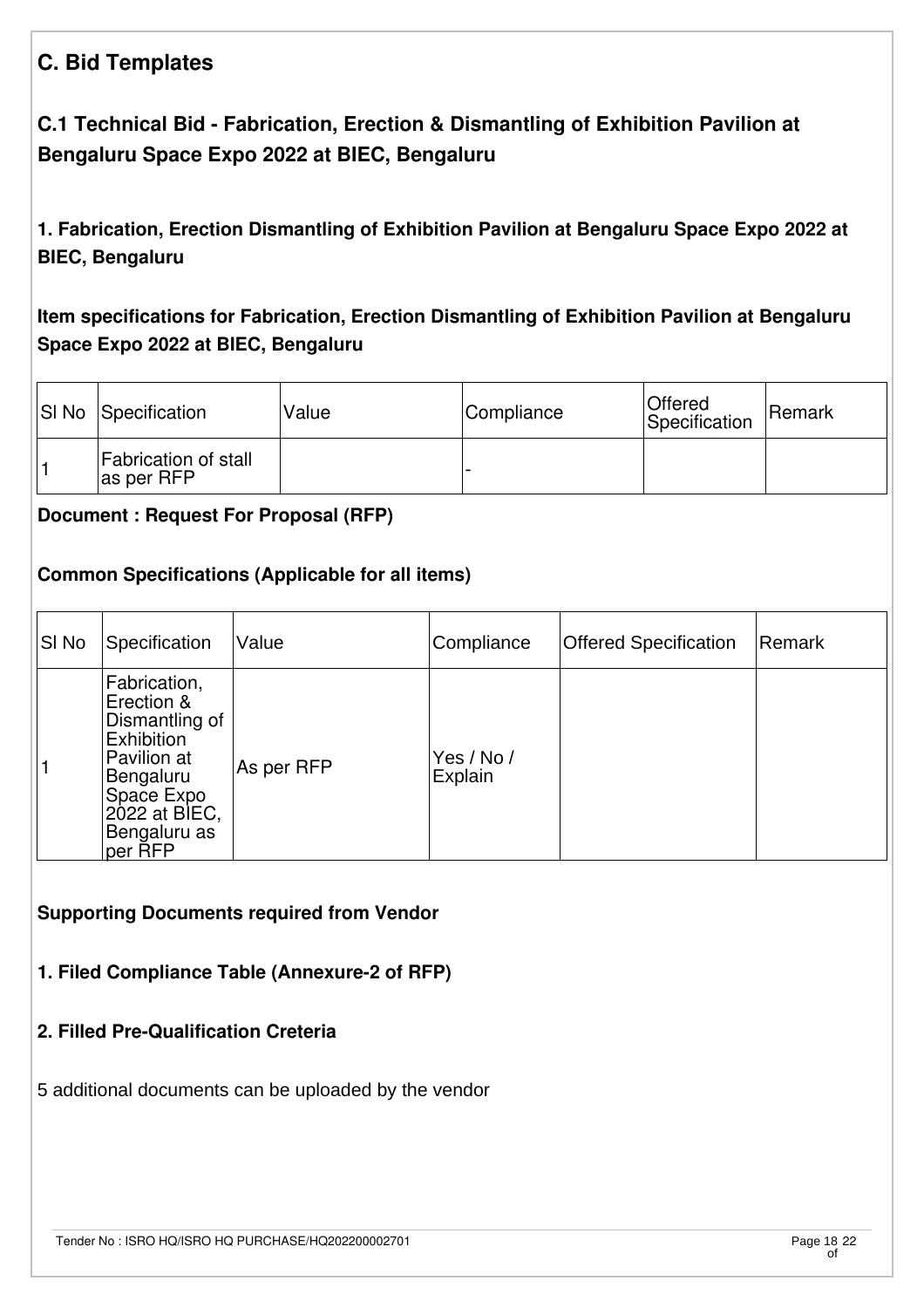# **C. Bid Templates**

# **C.1 Technical Bid - Fabrication, Erection & Dismantling of Exhibition Pavilion at Bengaluru Space Expo 2022 at BIEC, Bengaluru**

**1. Fabrication, Erection Dismantling of Exhibition Pavilion at Bengaluru Space Expo 2022 at BIEC, Bengaluru** 

# **Item specifications for Fabrication, Erection Dismantling of Exhibition Pavilion at Bengaluru Space Expo 2022 at BIEC, Bengaluru**

| <b>SI No Specification</b>         | Value | Compliance | <b>Offered</b><br>Specification | Remark |
|------------------------------------|-------|------------|---------------------------------|--------|
| Fabrication of stall<br>as per RFP |       |            |                                 |        |

#### **[Document : Request For Proposal \(RFP\)](https://eproc.isro.gov.in/common/viewDocument?id=ff808181816fbdd20181852319ee059a&indentId=HQ2022000027)**

#### **Common Specifications (Applicable for all items)**

| SI No | Specification                                                                                                                                    | Value      | Compliance            | <b>Offered Specification</b> | Remark |
|-------|--------------------------------------------------------------------------------------------------------------------------------------------------|------------|-----------------------|------------------------------|--------|
|       | Fabrication,<br>Erection &<br>Dismantling of<br>Exhibition<br>Pavilion at<br>Bengaluru<br>Space Expo<br>2022 at BIEC,<br>Bengaluru as<br>per RFP | As per RFP | Yes / No /<br>Explain |                              |        |

**Supporting Documents required from Vendor**

#### **1. Filed Compliance Table (Annexure-2 of RFP)**

#### **2. Filled Pre-Qualification Creteria**

5 additional documents can be uploaded by the vendor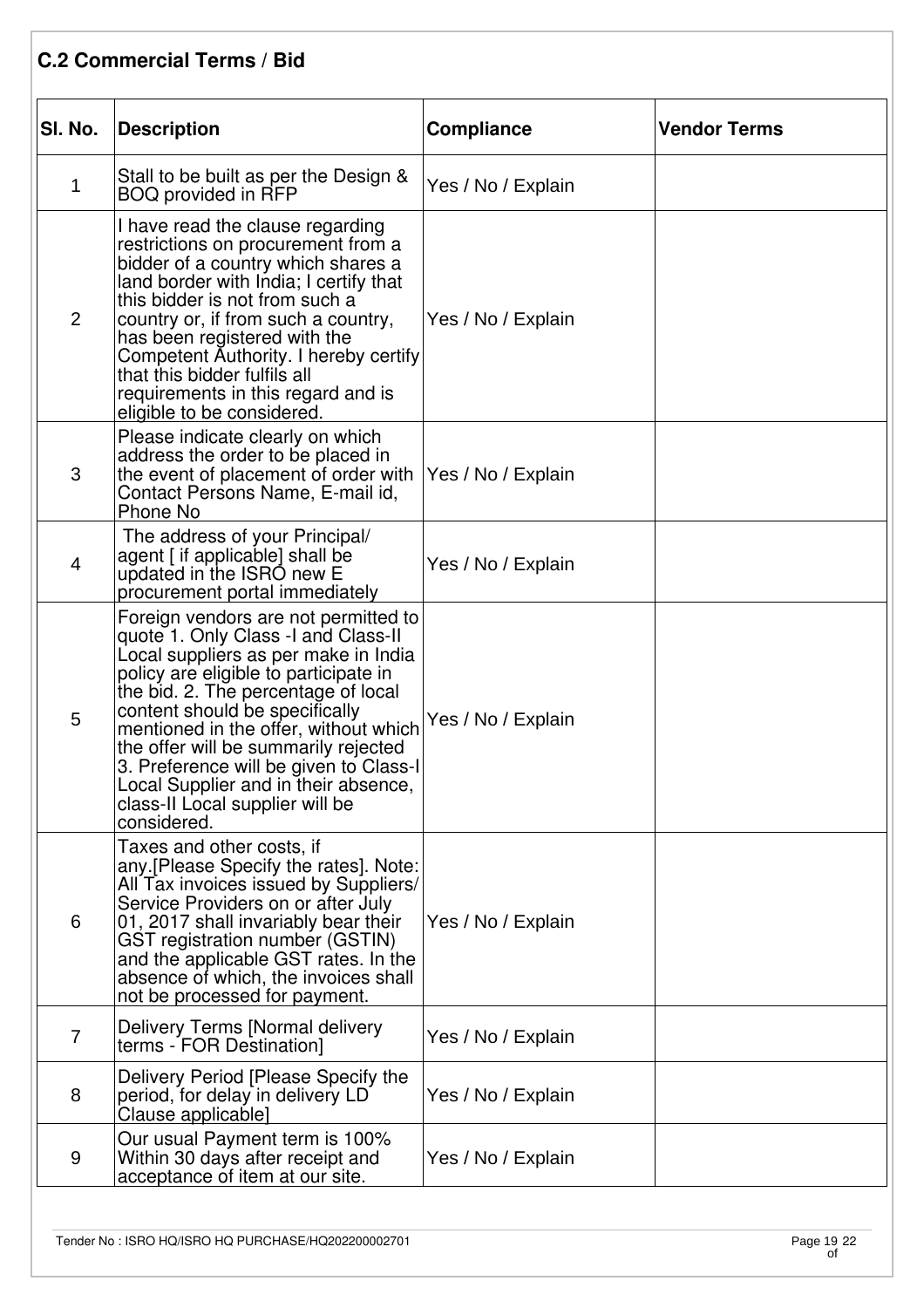# **C.2 Commercial Terms / Bid**

| SI. No.        | <b>Description</b>                                                                                                                                                                                                                                                                                                                                                                                                                                         | <b>Compliance</b>  | <b>Vendor Terms</b> |
|----------------|------------------------------------------------------------------------------------------------------------------------------------------------------------------------------------------------------------------------------------------------------------------------------------------------------------------------------------------------------------------------------------------------------------------------------------------------------------|--------------------|---------------------|
| 1              | Stall to be built as per the Design &<br>BOQ provided in RFP                                                                                                                                                                                                                                                                                                                                                                                               | Yes / No / Explain |                     |
| $\overline{2}$ | I have read the clause regarding<br>restrictions on procurement from a<br>bidder of a country which shares a<br>land border with India; I certify that<br>this bidder is not from such a<br>country or, if from such a country,<br>has been registered with the<br>Competent Authority. I hereby certify<br>that this bidder fulfils all<br>requirements in this regard and is<br>eligible to be considered.                                               | Yes / No / Explain |                     |
| 3              | Please indicate clearly on which<br>address the order to be placed in<br>the event of placement of order with<br>Contact Persons Name, E-mail id,<br>Phone No                                                                                                                                                                                                                                                                                              | Yes / No / Explain |                     |
| $\overline{4}$ | The address of your Principal/<br>agent [ if applicable] shall be<br>updated in the ISRO new E<br>procurement portal immediately                                                                                                                                                                                                                                                                                                                           | Yes / No / Explain |                     |
| 5              | Foreign vendors are not permitted to<br>quote 1. Only Class -I and Class-II<br>Local suppliers as per make in India<br>policy are eligible to participate in<br>the bid. 2. The percentage of local<br>content should be specifically<br>mentioned in the offer, without which<br>the offer will be summarily rejected<br>3. Preference will be given to Class-I<br>Local Supplier and in their absence,<br>class-II Local supplier will be<br>considered. | Yes / No / Explain |                     |
| 6              | Taxes and other costs, if<br>any. [Please Specify the rates]. Note:<br>All Tax invoices issued by Suppliers/<br>Service Providers on or after July<br>01, 2017 shall invariably bear their<br>GST registration number (GSTIN)<br>and the applicable GST rates. In the<br>absence of which, the invoices shall<br>not be processed for payment.                                                                                                             | Yes / No / Explain |                     |
| 7              | Delivery Terms [Normal delivery<br>terms - FOR Destination]                                                                                                                                                                                                                                                                                                                                                                                                | Yes / No / Explain |                     |
| 8              | Delivery Period [Please Specify the<br>period, for delay in delivery LD<br>Clause applicable]                                                                                                                                                                                                                                                                                                                                                              | Yes / No / Explain |                     |
| 9              | Our usual Payment term is 100%<br>Within 30 days after receipt and<br>acceptance of item at our site.                                                                                                                                                                                                                                                                                                                                                      | Yes / No / Explain |                     |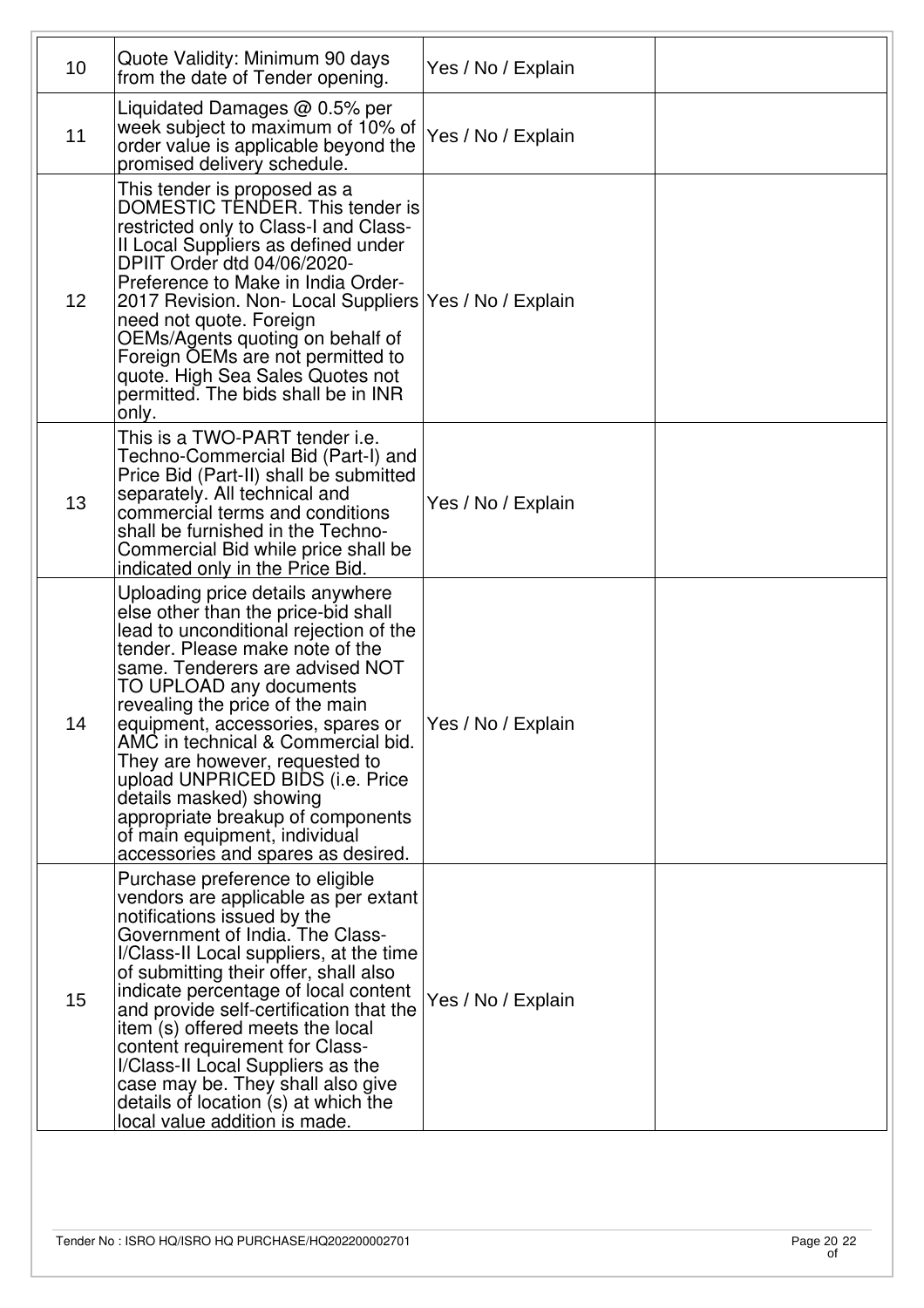| 10 <sup>1</sup> | Quote Validity: Minimum 90 days<br>from the date of Tender opening.                                                                                                                                                                                                                                                                                                                                                                                                                                                                           | Yes / No / Explain |  |
|-----------------|-----------------------------------------------------------------------------------------------------------------------------------------------------------------------------------------------------------------------------------------------------------------------------------------------------------------------------------------------------------------------------------------------------------------------------------------------------------------------------------------------------------------------------------------------|--------------------|--|
| 11              | Liquidated Damages $@$ 0.5% per<br>week subject to maximum of 10% of<br>order value is applicable beyond the<br>promised delivery schedule.                                                                                                                                                                                                                                                                                                                                                                                                   | Yes / No / Explain |  |
| 12              | This tender is proposed as a<br>DOMESTIC TENDER. This tender is<br>restricted only to Class-I and Class-<br>II Local Suppliers as defined under<br>DPIIT Order dtd 04/06/2020-<br>Preference to Make in India Order-<br>2017 Revision. Non- Local Suppliers<br>need not quote. Foreign<br>OEMs/Agents quoting on behalf of<br>Foreign OEMs are not permitted to<br>quote. High Sea Sales Quotes not<br>permitted. The bids shall be in INR<br>only.                                                                                           | Yes / No / Explain |  |
| 13              | This is a TWO-PART tender i.e.<br>Techno-Commercial Bid (Part-I) and<br>Price Bid (Part-II) shall be submitted<br>separately. All technical and<br>commercial terms and conditions<br>shall be furnished in the Techno-<br>Commercial Bid while price shall be<br>indicated only in the Price Bid.                                                                                                                                                                                                                                            | Yes / No / Explain |  |
| 14              | Uploading price details anywhere<br>else other than the price-bid shall<br>lead to unconditional rejection of the<br>tender. Please make note of the<br>same. Tenderers are advised NOT<br>TO UPLOAD any documents<br>revealing the price of the main<br>equipment, accessories, spares or<br>AMC in technical & Commercial bid.<br>They are however, requested to<br>upload UNPRICED BIDS (i.e. Price<br>details masked) showing<br>appropriate breakup of components<br>of main equipment, individual<br>accessories and spares as desired. | Yes / No / Explain |  |
| 15              | Purchase preference to eligible<br>vendors are applicable as per extant<br>notifications issued by the<br>Government of India. The Class-<br>I/Class-II Local suppliers, at the time<br>of submitting their offer, shall also<br>indicate percentage of local content<br>and provide self-certification that the<br>item (s) offered meets the local<br>content requirement for Class-<br>I/Class-II Local Suppliers as the<br>case may be. They shall also give<br>details of location $(s)$ at which the<br>local value addition is made.   | Yes / No / Explain |  |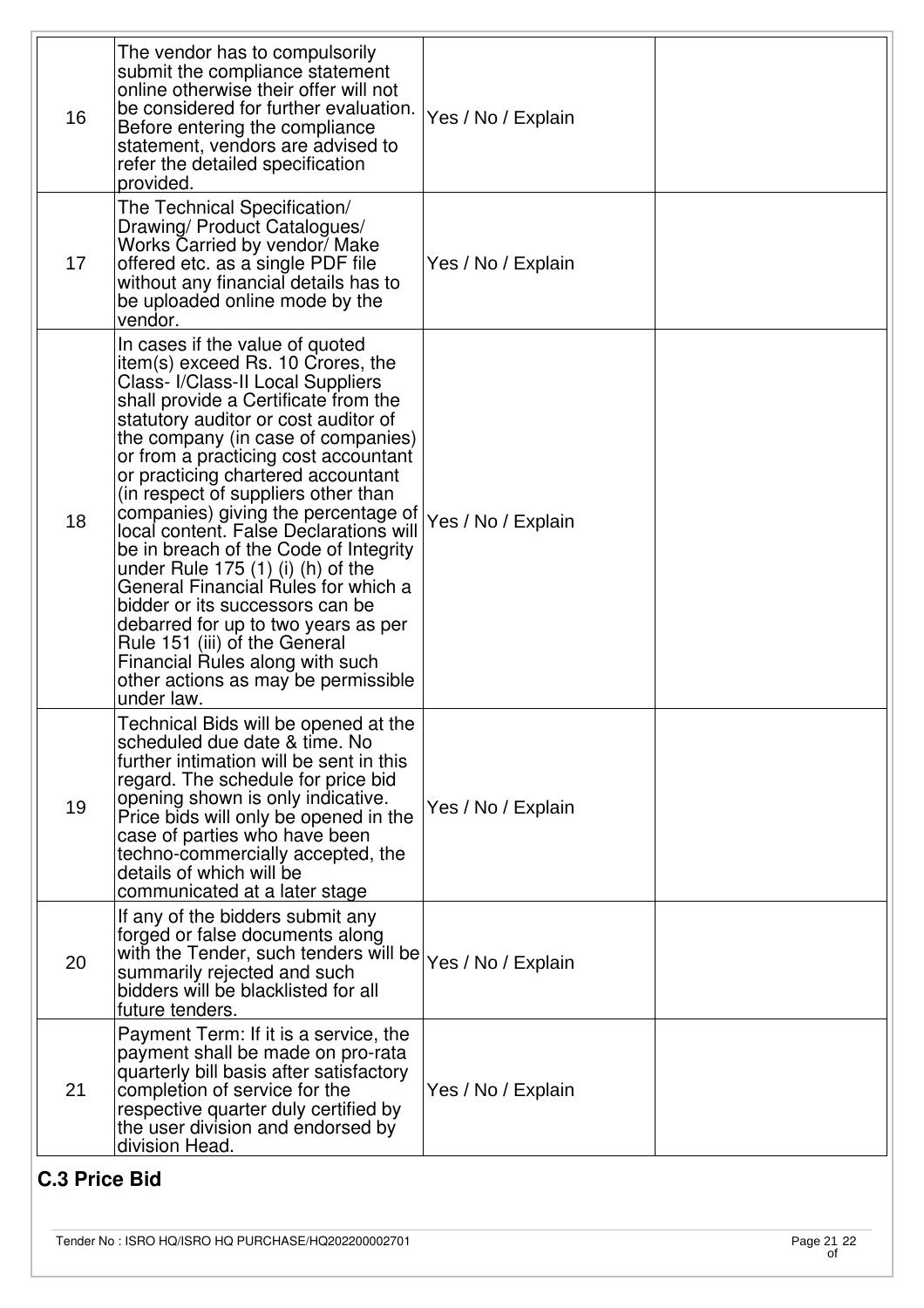| 16 | The vendor has to compulsorily<br>submit the compliance statement<br>online otherwise their offer will not<br>be considered for further evaluation.<br>Before entering the compliance<br>statement, vendors are advised to<br>refer the detailed specification<br>provided.                                                                                                                                                                                                                                                                                                                                                                                                                                                                                    | Yes / No / Explain |  |
|----|----------------------------------------------------------------------------------------------------------------------------------------------------------------------------------------------------------------------------------------------------------------------------------------------------------------------------------------------------------------------------------------------------------------------------------------------------------------------------------------------------------------------------------------------------------------------------------------------------------------------------------------------------------------------------------------------------------------------------------------------------------------|--------------------|--|
| 17 | The Technical Specification/<br>Drawing/ Product Catalogues/<br>Works Carried by vendor/ Make<br>offered etc. as a single PDF file<br>without any financial details has to<br>be uploaded online mode by the<br>vendor.                                                                                                                                                                                                                                                                                                                                                                                                                                                                                                                                        | Yes / No / Explain |  |
| 18 | In cases if the value of quoted<br>item(s) exceed Rs. 10 Crores, the<br>Class- I/Class-II Local Suppliers<br>shall provide a Certificate from the<br>statutory auditor or cost auditor of<br>the company (in case of companies)<br>or from a practicing cost accountant<br>or practicing chartered accountant<br>(in respect of suppliers other than<br>companies) giving the percentage of<br>local content. False Declarations will<br>be in breach of the Code of Integrity<br>under Rule $175(1)$ (i) (h) of the<br>General Financial Rules for which a<br>bidder or its successors can be<br>debarred for up to two years as per<br>Rule 151 (iii) of the General<br>Financial Rules along with such<br>other actions as may be permissible<br>under law. | Yes / No / Explain |  |
| 19 | Technical Bids will be opened at the<br>scheduled due date & time. No<br>further intimation will be sent in this<br>regard. The schedule for price bid<br>opening shown is only indicative.<br>Price bids will only be opened in the<br>case of parties who have been<br>techno-commercially accepted, the<br>details of which will be<br>communicated at a later stage                                                                                                                                                                                                                                                                                                                                                                                        | Yes / No / Explain |  |
| 20 | If any of the bidders submit any<br>forged or false documents along<br>with the Tender, such tenders will be Yes / No / Explain<br>summarily rejected and such<br>bidders will be blacklisted for all<br>future tenders.                                                                                                                                                                                                                                                                                                                                                                                                                                                                                                                                       |                    |  |
| 21 | Payment Term: If it is a service, the<br>payment shall be made on pro-rata<br>quarterly bill basis after satisfactory<br>completion of service for the<br>respective quarter duly certified by<br>the user division and endorsed by<br>division Head.                                                                                                                                                                                                                                                                                                                                                                                                                                                                                                          | Yes / No / Explain |  |

# **C.3 Price Bid**